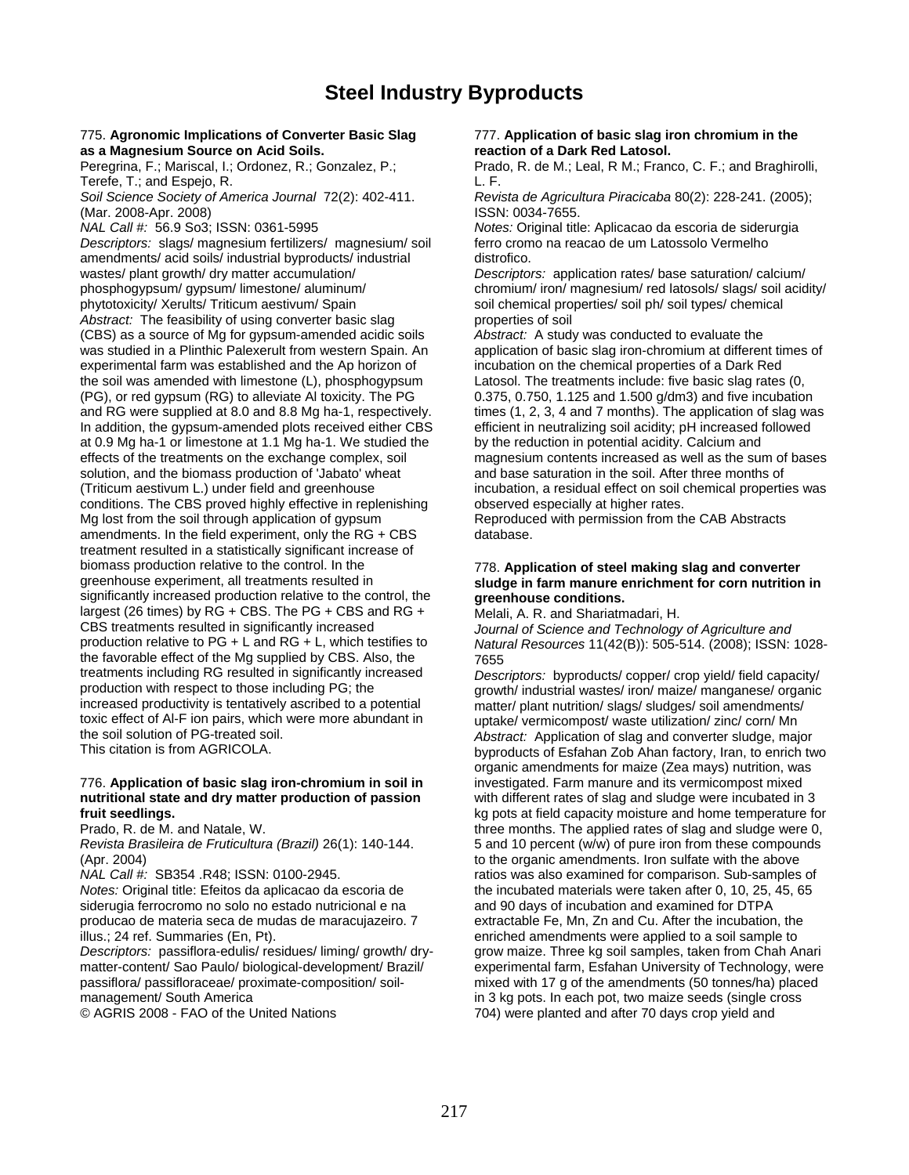### **Steel Industry Byproducts**

### 775. **Agronomic Implications of Converter Basic Slag** 777. **Application of basic slag iron chromium in the as a Magnesium Source on Acid Soils. as a Magnesium Source on Acid Soils. reaction of a Dark Red Latosol. Peregrina, F.; Mariscal, I.; Ordonez, R.; Gonzalez, P.; Prado, R. de M.; Leal, R M.; Frang**

Terefe, T.; and Espejo, R. <br>Soil Science Society of America Journal 72(2): 402-411. Revis

(Mar. 2008-Apr. 2008)<br>*NAL Call #: 5*6.9 So3: ISSN: 0361-5995

*Descriptors:* slags/ magnesium fertilizers/ magnesium/ soil amendments/ acid soils/ industrial byproducts/ industrial distrofico. wastes/ plant growth/ dry matter accumulation/ *Descriptors:* application rates/ base saturation/ calcium/ phosphogypsum/ gypsum/ limestone/ aluminum/ chromium/ iron/ magnesium/ red latosols/ slags/ soil acidity/ phytotoxicity/ Xerults/ Triticum aestivum/ Spain soil chemical properties/ soil ph/ soil types/ chemical *Abstract:* The feasibility of using converter basic slag *properties* of soil<br>(CBS) as a source of Mg for gypsum-amended acidic soils *Abstract:* A study was conducted to evaluate the (CBS) as a source of Mg for gypsum-amended acidic soils was studied in a Plinthic Palexerult from western Spain. An experimental farm was established and the Ap horizon of the soil was amended with limestone (L), phosphogypsum Latosol. The treatments include: five basic slag rates (0, (PG), or red gypsum (RG) to alleviate Al toxicity. The PG 0.375, 0.750, 1.125 and 1.500 g/dm3) and five incubation and RG were supplied at 8.0 and 8.8 Mg ha-1, respectively. times (1, 2, 3, 4 and 7 months). The application of slag was In addition, the gypsum-amended plots received either CBS efficient in neutralizing soil acidity; pH increased followed at 0.9 Mg ha-1 or limestone at 1.1 Mg ha-1. We studied the by the reduction in potential acidity. Calcium and effects of the treatments on the exchange complex, soil magnesium contents increased as well as the sum of bases solution, and the biomass production of 'Jabato' wheat and base saturation in the soil. After three months of (Triticum aestivum L.) under field and greenhouse incubation, a residual effect on soil chemical properties was conditions. The CBS proved highly effective in replenishing observed especially at higher rates. Mg lost from the soil through application of gypsum Reproduced with permission from the CAB Abstracts amendments. In the field experiment, only the  $RG + CBS$  database. treatment resulted in a statistically significant increase of biomass production relative to the control. In the 778. **Application of steel making slag and converter**  significantly increased production relative to the control, the **greenhouse conditions.** largest (26 times) by RG + CBS. The PG + CBS and RG + Melali, A. R. and Shariatmadari, H.<br>CBS treatments resulted in significantly increased *Journal of Science and Technology* CBS treatments resulted in significantly increased *Journal of Science and Technology of Agriculture and*  the favorable effect of the Mg supplied by CBS. Also, the  $\frac{7655}{\text{Desc}}$ treatments including RG resulted in significantly increased *Descriptors:* byproducts/ copper/ crop yield/ field capacity/ production with respect to those including PG; the growth/ industrial wastes/ iron/ maize/ manganese/ organic<br>
increased productivity is tentatively ascribed to a potential matter/ plant nutrition/ slags/ sludges/ soil ame toxic effect of Al-F ion pairs, which were more abundant in uptake/ vermicompost/ waste utilization/ zinc/ corn/ Mn<br>the soil solution of PG-treated soil. Abstract: Application of slag and converter sludge main the soil solution of PG-treated soil. *Abstract:* Application of slag and converter sludge, major

## 776. **Application of basic slag iron-chromium in soil in** investigated. Farm manure and its vermicompost mixed

siderugia ferrocromo no solo no estado nutricional e na and 90 days of incubation and examined for DTPA<br>producao de materia seca de mudas de maracuiazeiro. 7 extractable Fe. Mn. Zn and Cu. After the incubation, the producao de materia seca de mudas de maracujazeiro. 7 illus.; 24 ref. Summaries (En, Pt). enriched amendments were applied to a soil sample to

matter-content/ Sao Paulo/ biological-development/ Brazil/ experimental farm, Esfahan University of Technology, were passiflora/ passifloraceae/ proximate-composition/ soil- mixed with 17 g of the amendments (50 tonnes/ha) placed management/ South America in 3 kg pots. In each pot, two maize seeds (single cross

Prado, R. de M.; Leal, R M.; Franco, C. F.; and Braghirolli,

*Soil Science Society of America Journal* 72(2): 402-411. *Revista de Agricultura Piracicaba* 80(2): 228-241. (2005);

*Notes:* Original title: Aplicacao da escoria de siderurgia<br>ferro cromo na reacao de um Latossolo Vermelho

application of basic slag iron-chromium at different times of incubation on the chemical properties of a Dark Red

## sludge in farm manure enrichment for corn nutrition in

production relative to PG + L and RG + L, which testifies to *Natural Resources* 11(42(B)): 505-514. (2008); ISSN: 1028-

matter/ plant nutrition/ slags/ sludges/ soil amendments/ byproducts of Esfahan Zob Ahan factory, Iran, to enrich two organic amendments for maize (Zea mays) nutrition, was with different rates of slag and sludge were incubated in 3 **fruit seedlings.** kg pots at field capacity moisture and home temperature for Prado, R. de M. and Natale, W. three months. The applied rates of slag and sludge were 0, *Revista Brasileira de Fruticultura (Brazil)* 26(1): 140-144. 5 and 10 percent (w/w) of pure iron from these compounds (Apr. 2004)<br>
MAL Call #: SB354 .R48; ISSN: 0100-2945. The organic amendments. Iron sulfate with the above<br>
ratios was also examined for comparison. Sub-samples ratios was also examined for comparison. Sub-samples of *Notes:* Original title: Efeitos da aplicacao da escoria de the incubated materials were taken after 0, 10, 25, 45, 65 *Descriptors:* passiflora-edulis/ residues/ liming/ growth/ dry- grow maize. Three kg soil samples, taken from Chah Anari © AGRIS 2008 - FAO of the United Nations 704) were planted and after 70 days crop yield and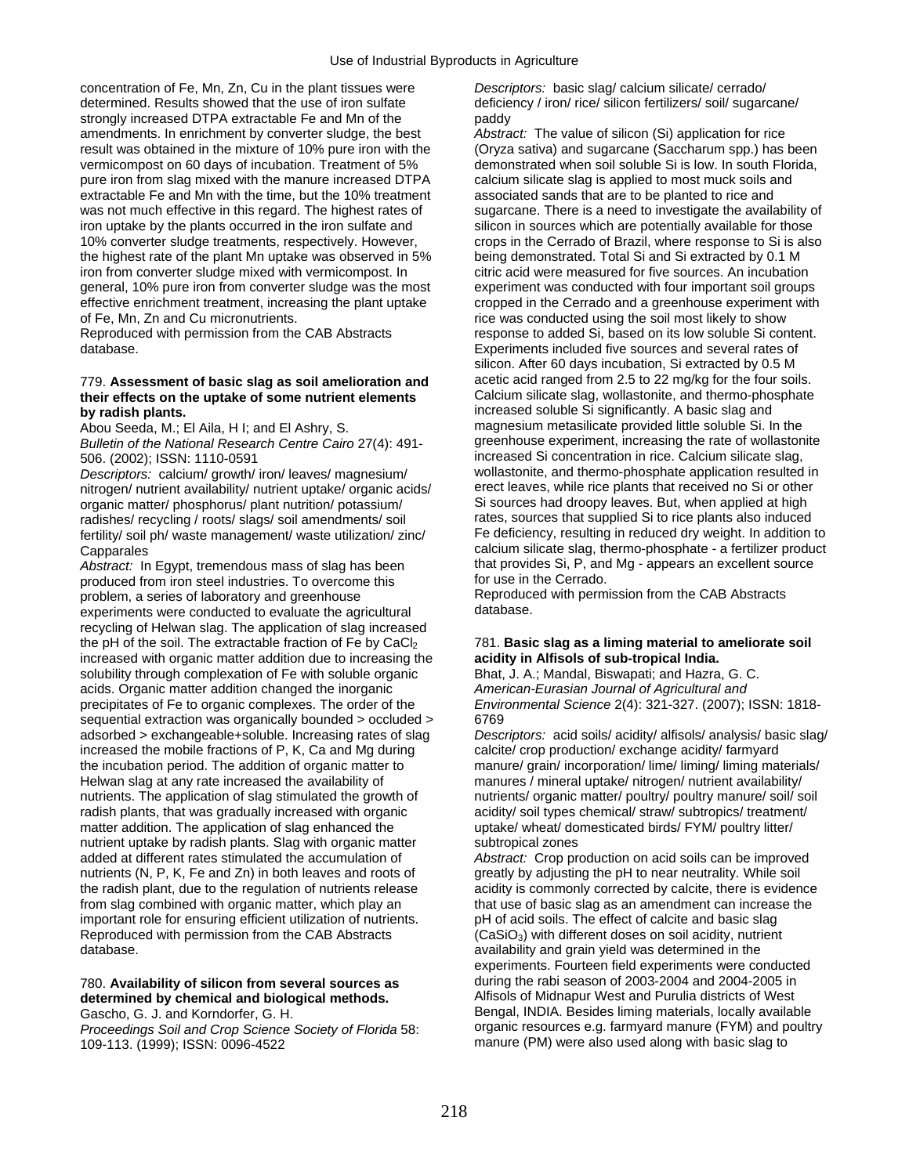concentration of Fe, Mn, Zn, Cu in the plant tissues were *Descriptors:* basic slag/ calcium silicate/ cerrado/ determined. Results showed that the use of iron sulfate deficiency / iron/ rice/ silicon fertilizers/ soil/ sugarcane/ strongly increased DTPA extractable Fe and Mn of the paddy amendments. In enrichment by converter sludge, the best *Abstract:* The value of silicon (Si) application for rice result was obtained in the mixture of 10% pure iron with the (Oryza sativa) and sugarcane (Saccharum spp.) has been vermicompost on 60 days of incubation. Treatment of 5% demonstrated when soil soluble Si is low. In south Florida, pure iron from slag mixed with the manure increased DTPA calcium silicate slag is applied to most muck soils and extractable Fe and Mn with the time, but the 10% treatment associated sands that are to be planted to rice and was not much effective in this regard. The highest rates of sugarcane. There is a need to investigate the availability of iron uptake by the plants occurred in the iron sulfate and silicon in sources which are potentially available for those 10% converter sludge treatments, respectively. However, crops in the Cerrado of Brazil, where response to Si is also the highest rate of the plant Mn uptake was observed in 5% being demonstrated. Total Si and Si extracted by 0.1 M iron from converter sludge mixed with vermicompost. In citric acid were measured for five sources. An incubation general, 10% pure iron from converter sludge was the most experiment was conducted with four important soil groups<br>effective enrichment treatment, increasing the plant uptake cropped in the Cerrado and a greenhouse experim effective enrichment treatment, increasing the plant uptake cropped in the Cerrado and a greenhouse experiment with<br>of Fe. Mn. Zn and Cu micronutrients.<br>ince was conducted using the soil most likely to show

### 779. **Assessment of basic slag as soil amelioration and** acetic acid ranged from 2.5 to 22 mg/kg for the four soils. their effects on the uptake of some nutrient elements **by radish plants. increased soluble Si significantly.** A basic slag and **by radish plants.**

*Descriptors:* calcium/ growth/ iron/ leaves/ magnesium/ wollastonite, and thermo-phosphate application resulted in nitrogen/ nutrient availability/ nutrient uptake/ organic acids/ erect leaves, while rice plants that received no Si or other<br>organic matter/ phosphorus/ plant nutrition/ potassium/ Si sources had droopy leaves. But, when organic matter/ phosphorus/ plant nutrition/ potassium/ Si sources had droopy leaves. But, when applied at high<br>Tradishes/ recycling / roots/ slags/ soil amendments/ soil states, sources that supplied Si to rice plants als fertility/ soil ph/ waste management/ waste utilization/ zinc/

*Abstract:* In Egypt, tremendous mass of slag has been that provides Si, P, and noduced from iron steel industries To overcome this for use in the Cerrado. produced from iron steel industries. To overcome this for use in the Cerrado.<br>problem a series of laboratory and greenhouse **Forman and Reproduced with permission from the CAB** Abstracts problem, a series of laboratory and greenhouse Reproduce<br>experiments were conducted to evaluate the agricultural database. experiments were conducted to evaluate the agricultural recycling of Helwan slag. The application of slag increased the pH of the soil. The extractable fraction of Fe by CaCl<sub>2</sub> 781. **Basic slag as a liming material to ameliorate soil** increased with organic matter addition due to increasing the **acidity in Alfisols of sub-tropical India.**  solubility through complexation of Fe with soluble organic Bhat, J. A.; Mandal, Biswapati; and Hazra, G. C. acids. Organic matter addition changed the inorganic *American-Eurasian Journal of Agricultural and*  precipitates of Fe to organic complexes. The order of the *Environmental Science* 2(4): 321-327. (2007); ISSN: 1818 sequential extraction was organically bounded > occluded > 6769 increased the mobile fractions of P, K, Ca and Mg during the incubation period. The addition of organic matter to manure/ grain/ incorporation/ lime/ liming/ liming materials/ Helwan slag at any rate increased the availability of manures / mineral uptake/ nitrogen/ nutrient availability/ nutrients. The application of slag stimulated the growth of nutrients/ organic matter/ poultry/ poultry manure/ soil/ soil radish plants, that was gradually increased with organic acidity/ soil types chemical/ straw/ subtropics/ treatment/<br>matter addition. The application of slag enhanced the uptake/ wheat/ domesticated birds/ FYM/ poultry lit nutrient uptake by radish plants. Slag with organic matter subtropical zones added at different rates stimulated the accumulation of *Abstract:* Crop production on acid soils can be improved nutrients (N, P, K, Fe and Zn) in both leaves and roots of greatly by adjusting the pH to near neutrality. While soil the radish plant, due to the regulation of nutrients release acidity is commonly corrected by calcite, there is evidence from slag combined with organic matter, which play an that use of basic slag as an amendment can increase the important role for ensuring efficient utilization of nutrients. pH of acid soils. The effect of calcite and basic slag Reproduced with permission from the CAB Abstracts ( $\cos \theta_3$ ) with different doses on soil acidity, nutrient database.

*Proceedings Soil and Crop Science Society of Florida* 58:

of Fe, Mn, Zn and Cu micronutrients.<br>
Reproduced with permission from the CAB Abstracts<br>
response to added Si, based on its low soluble Si cor response to added Si, based on its low soluble Si content. database. Experiments included five sources and several rates of silicon. After 60 days incubation, Si extracted by 0.5 M Abou Seeda, M.; El Aila, H I; and El Ashry, S. magnesium metasilicate provided little soluble Si. In the *Bulletin of the National Research Centre Cairo* 27(4): 491- greenhouse experiment, increasing the rate of wollastonite 506. (2002); ISSN: 1110-0591<br>
Descriptors: calcium/growth/iron/leaves/magnesium/ wollastonite, and thermo-phosphate application resulted in radishes/ recycling / roots/ slags/ soil amendments/ soil rates, sources that supplied Si to rice plants also induced<br>fertility/ soil ph/ waste management/ waste utilization/ zinc/ Fe deficiency, resulting in reduced dry w Capparales<br>
Calcium silicate slag, thermo-phosphate - a fertilizer product<br>
Abstract: In Foypt, tremendous mass of slag has been that provides Si, P, and Mg - appears an excellent source

adsorbed > exchangeable+soluble. Increasing rates of slag *Descriptors:* acid soils/ acidity/ alfisols/ analysis/ basic slag/ increased the mobile fractions of P, K, Ca and Mg during calcite/ crop production/ exchange acid uptake/ wheat/ domesticated birds/ FYM/ poultry litter/

availability and grain yield was determined in the experiments. Fourteen field experiments were conducted 780. **Availability of silicon from several sources as** during the rabi season of 2003-2004 and 2004-2005 in **determined by chemical and biological methods.** Alfisols of Midnapur West and Purulia districts of West Gascho, G. J. and Korndorfer, G. H.<br>
Bengal, INDIA. Besides liming materials, locally available<br>
Proceedings Soil and Crop Science Society of Florida 58: organic resources e.g. farmyard manure (FYM) and poultry 109-113. (1999); ISSN: 0096-4522 manure (PM) were also used along with basic slag to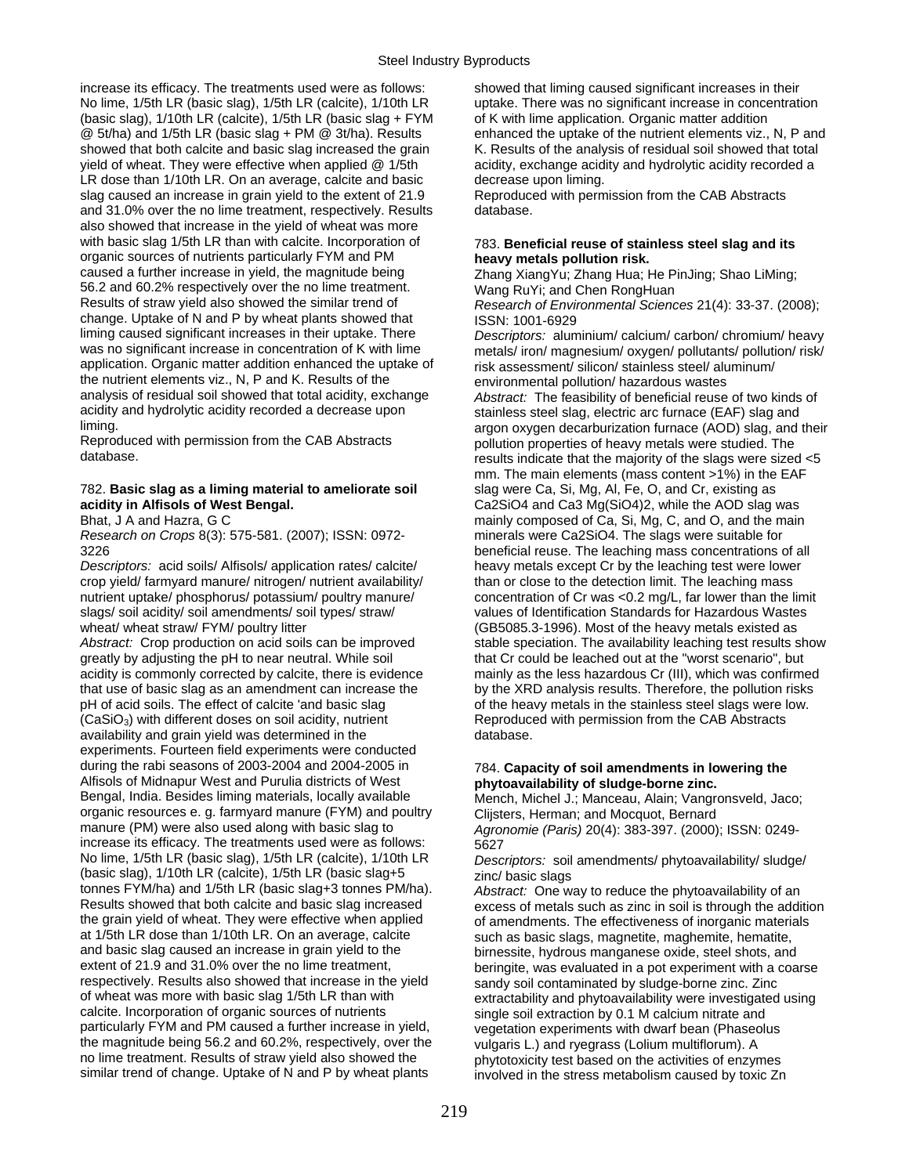increase its efficacy. The treatments used were as follows: showed that liming caused significant increases in their No lime, 1/5th LR (basic slag), 1/5th LR (calcite), 1/10th LR uptake. There was no significant increase in concentration (basic slag),  $1/10$ th LR (calcite),  $1/5$ th LR (basic slag + FYM of K with lime application. Organic matter addition @ 5t/ha) and 1/5th LR (basic slag + PM @ 3t/ha). Results enhanced the uptake of the nutrient elements viz., N, P and showed that both calcite and basic slag increased the grain K. Results of the analysis of residual soil showed that total yield of wheat. They were effective when applied @ 1/5th acidity, exchange acidity and hydrolytic acidity recorded a LR dose than 1/10th LR. On an average, calcite and basic decrease upon liming. slag caused an increase in grain yield to the extent of 21.9 Reproduced with permission from the CAB Abstracts and 31.0% over the no lime treatment, respectively. Results database. also showed that increase in the yield of wheat was more with basic slag 1/5th LR than with calcite. Incorporation of 783. **Beneficial reuse of stainless steel slag and its** organic sources of nutrients particularly FYM and PM **heavy metals pollution risk.**<br>
caused a further increase in yield, the magnitude being **heavy metals pollution risk.** 56.2 and 60.2% respectively over the no lime treatment. Wang RuYi; and Chen RongHuan<br>Results of straw yield also showed the similar trend of Research of Environmental Science change. Uptake of N and P by wheat plants showed that ISSN: 1001-6929<br>liming caused significant increases in their uptake. There *Descriptors: alum* liming caused significant increases in their uptake. There *Descriptors:* aluminium/ calcium/ carbon/ chromium/ heavy was no significant increase in concentration of K with lime metals/ iron/ magnesium/ oxygen/ pollutants/ pollution/ risk/<br>application. Organic matter addition enhanced the uptake of risk assessment/ silicon/ stainless stee the nutrient elements viz., N, P and K. Results of the environmental pollution/ hazardous wastes<br>analysis of residual soil showed that total acidity, exchange *Abstract:* The feasibility of beneficial reuse analysis of residual soil showed that total acidity, exchange *Abstract:* The feasibility of beneficial reuse of two kinds of acidity and hydrolytic acidity recorded a decrease upon stainless steel slag, electric arc furnace (EAF) slag and<br>Stating and stroom oxygen decarburization furnace (AOD) slag, and

### 782. **Basic slag as a liming material to ameliorate soil** slag were Ca, Si, Mg, Al, Fe, O, and Cr, existing as **acidity in Alfisols of West Bengal.** Ca2SiO4 and Ca3 Mg(SiO4)2, while the AOD slag was

*Research on Crops* 8(3): 575-581. (2007); ISSN: 0972- minerals were Ca2SiO4. The slags were suitable for

*Descriptors:* acid soils/ Alfisols/ application rates/ calcite/ heavy metals except Cr by the leaching test were lower crop yield/ farmyard manure/ nitrogen/ nutrient availability/ than or close to the detection limit. The leaching mass<br>nutrient uptake/ phosphorus/ potassium/ poultry manure/ concentration of Cr was <0.2 mg/L, far lower tha slags/ soil acidity/ soil amendments/ soil types/ straw/ wheat/ wheat straw/ FYM/ poultry litter (GB5085.3-1996). Most of the heavy metals existed as

greatly by adjusting the pH to near neutral. While soil that Cr could be leached out at the "worst scenario", but acidity is commonly corrected by calcite, there is evidence mainly as the less hazardous Cr (III), which was confirmed that use of basic slag as an amendment can increase the by the XRD analysis results. Therefore, the pollution risks pH of acid soils. The effect of calcite 'and basic slag of the heavy metals in the stainless steel slags were low. (CaSiO<sub>3</sub>) with different doses on soil acidity, nutrient Reproduced with permission from the CAB Abstracts availability and grain yield was determined in the database. experiments. Fourteen field experiments were conducted during the rabi seasons of 2003-2004 and 2004-2005 in 784. **Capacity of soil amendments in lowering the**  Alfisols of Midnapur West and Purulia districts of West **phytoavailability of sludge-borne zinc.**  organic resources e. g. farmyard manure (FYM) and poultry Clijsters, Herman; and Mocquot, Bernard<br>manure (PM) were also used along with basic slag to *Agropomie (Paris)* 20(4): 383-397 (2000) increase its efficacy. The treatments used were as follows:  $5627$ <br>No lime, 1/5th LR (basic slag), 1/5th LR (calcite), 1/10th LR  $P_{\text{PSC}}$ (basic slag), 1/10th LR (calcite), 1/5th LR (basic slag+5 tonnes FYM/ha). tonnes FYM/ha) and 1/5th LR (basic slag+3 tonnes PM/ha). *Abstract:* One way to reduce the phytoavailability of an Results showed that both calcite and basic slag increased excess of metals such as zinc in soil is through the addition<br>the grain yield of wheat. They were effective when applied of amendments. The effectiveness of inorgan the grain yield of wheat. They were effective when applied of amendments. The effectiveness of inorganic materials<br>at 1/5th LR dose than 1/10th LR. On an average, calcite such as basic slags magnetite, maghemite, hematite at 1/5th LR dose than 1/10th LR. On an average, calcite such as basic slags, magnetite, maghemite, hematite, h<br>such and basic slag caused an increase in grain yield to the such primessite, hydrous manganese oxide, steel sh and basic slag caused an increase in grain yield to the birnessite, hydrous manganese oxide, steel shots, and<br>extent of 21.9 and 31.0% over the no lime treatment, by the birnessite, was evaluated in a pot experiment with a respectively. Results also showed that increase in the yield sandy soil contaminated by sludge-borne zinc. Zinc<br>of wheat was more with basic slag 1/5th LR than with extractability and phytoavailability were investigated calcite. Incorporation of organic sources of nutrients single soil extraction by 0.1 M calcium nitrate and particularly FYM and PM caused a further increase in yield, vegetation experiments with dwarf bean (Phaseolus the magnitude being 56.2 and 60.2%, respectively, over the vulgaris L.) and ryegrass (Lolium multiflorum). A no lime treatment. Results of straw yield also showed the phytotoxicity test based on the activities of enzyr no lime treatment. Results of straw yield also showed the phytotoxicity test based on the activities of enzymes<br>similar trend of change. Uptake of N and P by wheat plants involved in the stress metabolism caused by toxic Z

Zhang Xiang Yu; Zhang Hua; He PinJing; Shao LiMing; Research of Environmental Sciences 21(4): 33-37. (2008);

risk assessment/ silicon/ stainless steel/ aluminum/ argon oxygen decarburization furnace (AOD) slag, and their Reproduced with permission from the CAB Abstracts pollution properties of heavy metals were studied. The pollution properties of heavy metals were studied. The clans were sized results indicate that the majority of the slags were sized  $<$ 5 mm. The main elements (mass content >1%) in the EAF Bhat, J A and Hazra, G C mainly composed of Ca, Si, Mg, C, and O, and the main 3226 beneficial reuse. The leaching mass concentrations of all concentration of Cr was <0.2 mg/L, far lower than the limit values of Identification Standards for Hazardous Wastes Abstract: Crop production on acid soils can be improved stable speciation. The availability leaching test results show

Mench, Michel J.; Manceau, Alain; Vangronsveld, Jaco; Agronomie (Paris) 20(4): 383-397. (2000); ISSN: 0249-

Descriptors: soil amendments/ phytoavailability/ sludge/<br>zinc/ basic slags

beringite, was evaluated in a pot experiment with a coarse extractability and phytoavailability were investigated using involved in the stress metabolism caused by toxic Zn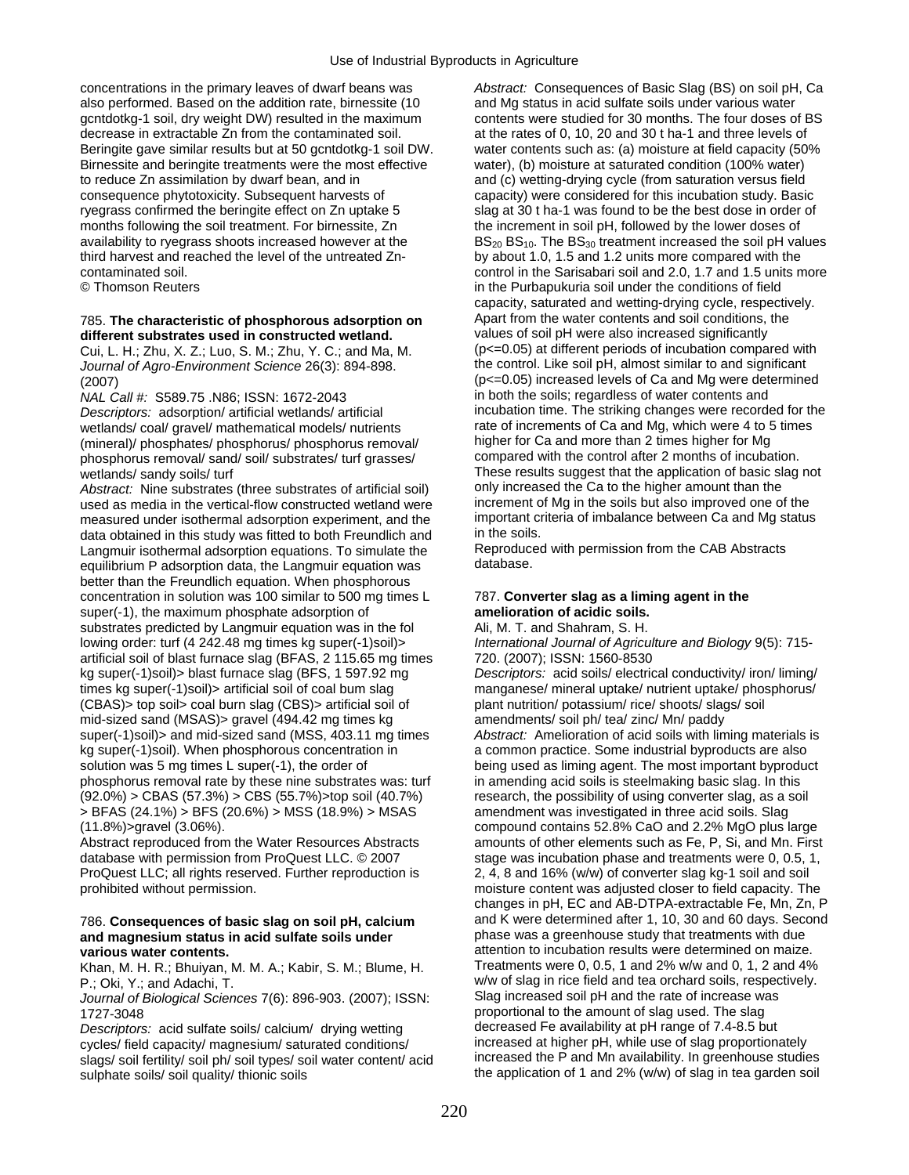concentrations in the primary leaves of dwarf beans was *Abstract:* Consequences of Basic Slag (BS) on soil pH, Ca also performed. Based on the addition rate, birnessite (10 and Mg status in acid sulfate soils under various water gcntdotkg-1 soil, dry weight DW) resulted in the maximum contents were studied for 30 months. The four doses of BS decrease in extractable Zn from the contaminated soil. at the rates of 0, 10, 20 and 30 t ha-1 and three levels of Beringite gave similar results but at 50 gcntdotkg-1 soil DW. water contents such as: (a) moisture at field capacity (50% Birnessite and beringite treatments were the most effective water), (b) moisture at saturated condition (100% water) to reduce Zn assimilation by dwarf bean, and in and  $(c)$  wetting-drying cycle (from saturation versus field consequence phytotoxicity. Subsequent harvests of capacity) were considered for this incubation study. Basic ryegrass confirmed the beringite effect on Zn uptake 5 slag at 30 t ha-1 was found to be the best dose in order of months following the soil treatment. For birnessite, Zn the increment in soil pH, followed by the lower doses of third harvest and reached the level of the untreated Zn- by about 1.0, 1.5 and 1.2 units more compared with the

## 785. **The characteristic of phosphorous adsorption on** <sup>Apart</sup> from the water contents and soil conditions, the **different substrates used in constructed wetland** values of soil pH were also increased significantly

*Journal of Agro-Environment Science* 26(3): 894-898.

*NAL Call #: S589.75 .N86; ISSN: 1672-2043* wetlands/ coal/ gravel/ mathematical models/ nutrients rate of increments of Ca and Mg, which were 4 to 5<br>Interal)/ phosphates/ phosphorus/ phosphorus removal/ higher for Ca and more than 2 times higher for Mg (mineral)/ phosphates/ phosphorus/ phosphorus removal/ higher for Ca and more than 2 times higher for Mg<br>phosphorus removal/ sand/ soil/ substrates/ turf grasses/ compared with the control after 2 months of incubation. phosphorus removal/ sand/ soil/ substrates/ turf grasses/

*Abstract:* Nine substrates (three substrates of artificial soil) only increased the Ca to the higher amount than the vertical flow constructed wetland were increment of Mg in the soils but also improved one of the used as media in the vertical-flow constructed wetland were increment of Mg in the soils but also improved one of the<br>measured under isothermal adsorption experiment, and the important criteria of imbalance between Ca and measured under isothermal adsorption experiment, and the important criteria obtained in this study was fitted to both Freundlich and Mg in the soils. data obtained in this study was fitted to both Freundlich and<br>Langmuir isothermal adsorption equations. To simulate the Reproduced with permission from the CAB Abstracts Langmuir isothermal adsorption equations. To simulate the Reproduce<br>
equilibrium P adsorption data the Langmuir equation was database. equilibrium P adsorption data, the Langmuir equation was better than the Freundlich equation. When phosphorous concentration in solution was 100 similar to 500 mg times L 787. **Converter slag as a liming agent in the**  super(-1), the maximum phosphate adsorption of **amelioration of acidic soils.** substrates predicted by Langmuir equation was in the fol Ali, M. T. and Shahram, S. H. lowing order: turf (4 242.48 mg times kg super(-1)soil)> *International Journal of Agriculture and Biology* 9(5): 715 artificial soil of blast furnace slag (BFAS, 2 115.65 mg times 720. (2007); ISSN: 1560-8530 kg super(-1)soil)> blast furnace slag (BFS, 1 597.92 mg *Descriptors:* acid soils/ electrical conductivity/ iron/ liming/ times kg super(-1)soil)> artificial soil of coal bum slag manganese/ mineral uptake/ nutrient uptake/ phosphorus/ (CBAS)> top soil> coal burn slag (CBS)> artificial soil of plant nutrition/ potassium/ rice/ shoots/ slags/ soil mid-sized sand (MSAS) gravel (494.42 mg times kg amendments/ soil ph/ tea/ zinc/ Mn/ paddy super(-1)soil)> and mid-sized sand (MSS, 403.11 mg times *Abstract:* Amelioration of acid soils with liming materials is kg super(-1)soil). When phosphorous concentration in a common practice. Some industrial byproducts are also solution was 5 mg times L super(-1), the order of being used as liming agent. The most important byproduct phosphorus removal rate by these nine substrates was: turf in amending acid soils is steelmaking basic slag. In this  $(92.0%) > CBAS (57.3%) > CBS (55.7%)$  top soil  $(40.7%)$  research, the possibility of using converter slag, as a soil > BFAS (24.1%) > BFS (20.6%) > MSS (18.9%) > MSAS amendment was investigated in three acid soils. Slag (11.8%)>gravel (3.06%). compound contains 52.8% CaO and 2.2% MgO plus large

ProQuest LLC; all rights reserved. Further reproduction is 2, 4, 8 and 16% (w/w) of converter slag kg-1 soil and soil

## and magnesium status in acid sulfate soils under

Khan, M. H. R.; Bhuiyan, M. M. A.; Kabir, S. M.; Blume, H.

*Journal of Biological Sciences* 7(6): 896-903. (2007); ISSN:

*Descriptors:* acid sulfate soils/ calcium/ drying wetting decreased Fe availability at pH range of 7.4-8.5 but<br>cycles/ field capacity/ magnesium/ saturated conditions/ increased at higher pH, while use of slag proportiona cycles/ field capacity/ magnesium/ saturated conditions/ increased at higher pH, while use of slag proportionately<br>slags/ soil fertility/ soil bb/ soil types/ soil water content/ acid increased the P and Mn availability. I slags/ soil fertility/ soil ph/ soil types/ soil water content/ acid sulphate soils/ soil quality/ thionic soils example and the application of 1 and 2% (w/w) of slag in tea garden soil

availability to ryegrass shoots increased however at the  $BS_{20}$  BS<sub>20</sub> BS<sub>10</sub>. The BS<sub>30</sub> treatment increased the soil pH values contaminated soil. control in the Sarisabari soil and 2.0, 1.7 and 1.5 units more © Thomson Reuters in the Purbapukuria soil under the conditions of field capacity, saturated and wetting-drying cycle, respectively. **different substrates used in constructed wetland.** values of soil pH were also increased significantly<br>Cui L. H. Zhu, X. Z. Luo, S. M. Zhu, Y. C. and Ma. M. (D<=0.05) at different periods of incubation compared with Cui, L. H.; Zhu, X. Z.; Luo, S. M.; Zhu, Y. C.; and Ma, M. (p <= 0.05) at different periods of incubation compared wit<br>Journal of Agro-Environment Science 26(3): 894-898 (2007)<br>  $[0 \le -0.05]$  increased levels of Ca and Mg were determined<br>  $[0 \le -0.05]$  in both the soils; regardless of water contents and *Descriptors:* adsorption/ artificial wetlands/ artificial incubation time. The striking changes were recorded for the<br>wetlands/ coal/ gravel/ mathematical models/ nutrients rate of increments of Ca and Mg, which were 4 to wetlands/ sandy soils/ turf These results suggest that the application of basic slag not<br>Abstract: Nine substrates (three substrates of artificial soil) only increased the Ca to the higher amount than the

Abstract reproduced from the Water Resources Abstracts amounts of other elements such as Fe, P, Si, and Mn. First database with permission from ProQuest LLC. © 2007 stage was incubation phase and treatments were 0, 0.5, 1, prohibited without permission. moisture content was adjusted closer to field capacity. The changes in pH, EC and AB-DTPA-extractable Fe, Mn, Zn, P 786. **Consequences of basic slag on soil pH, calcium** and K were determined after 1, 10, 30 and 60 days. Second **various water contents. attention to incubation results were determined on maize. attention to incubation results were determined on maize.** *Attention* **<b>Khan, M. H. R.: Bhuivan, M. A.: Kabir, S. M.: Blume, H. <b>C.** P.; Oki, Y.; and Adachi, T.<br>
Journal of Biological Sciences 7(6): 896-903. (2007): ISSN: Slag increased soil pH and the rate of increase was 1727-3048<br>
Descriptors: acid sulfate soils/calcium/ drving wetting decreased Fe availability at pH range of 7.4-8.5 but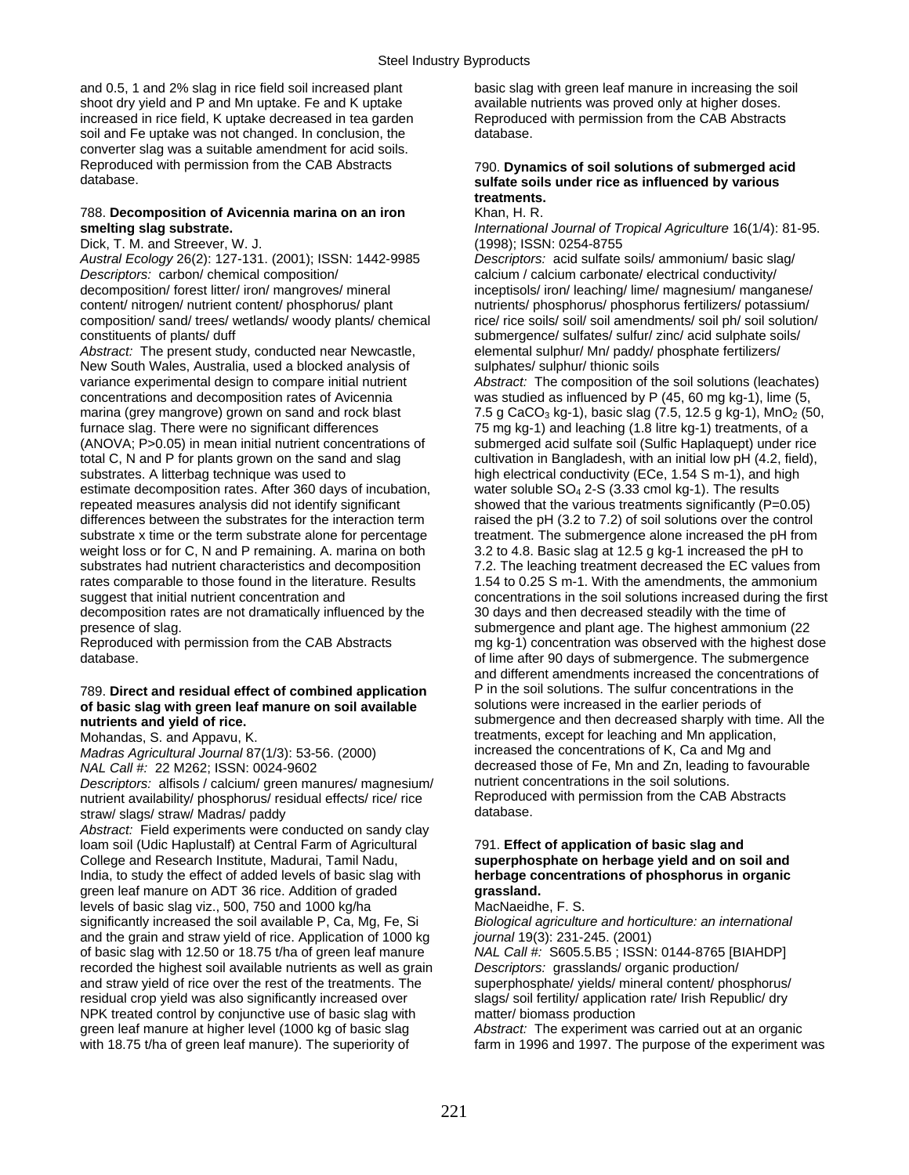and 0.5, 1 and 2% slag in rice field soil increased plant basic slag with green leaf manure in increasing the soil shoot dry yield and P and Mn uptake. Fe and K uptake available nutrients was proved only at higher doses. increased in rice field, K uptake decreased in tea garden Reproduced with permission from the CAB Abstracts soil and Fe uptake was not changed. In conclusion, the database. converter slag was a suitable amendment for acid soils. Reproduced with permission from the CAB Abstracts 790. **Dynamics of soil solutions of submerged acid** 

## **788. Decomposition of Avicennia marina on an iron smelting slag substrate.**

Dick, T. M. and Streever, W. J. (1998); ISSN: 0254-8755

*Descriptors:* carbon/ chemical composition/ calcium / calcium carbonate/ electrical conductivity/ decomposition/ forest litter/ iron/ mangroves/ mineral inceptisols/ iron/ leaching/ lime/ magnesium/ manganese/ content/ nitrogen/ nutrient content/ phosphorus/ plant nutrients/ phosphorus/ phosphorus fertilizers/ potassium/ composition/ sand/ trees/ wetlands/ woody plants/ chemical rice/ rice soils/ soil/ soil amendments/ soil ph/ soil solution/

*Abstract:* The present study, conducted near Newcastle, elemental sulphur/ Mn/ paddy/ phosphates/ sulphates/ sulphur/ thionic soils New South Wales, Australia, used a blocked analysis of variance experimental design to compare initial nutrient *Abstract:* The composition of the soil solutions (leachates) concentrations and decomposition rates of Avicennia was studied as influenced by P (45, 60 mg kg-1), lime (5, marina (grey mangrove) grown on sand and rock blast  $7.5$  g CaCO<sub>3</sub> kg-1), basic slag (7.5, 12.5 g kg-1), MnO<sub>2</sub> (50, furnace slag. There were no significant differences 75 mg kg-1) and leaching (1.8 litre kg-1) treatments, of a<br>(ANOVA; P>0.05) in mean initial nutrient concentrations of submerged acid sulfate soil (Sulfic Haplaquept) unde  $(ANOVA; P > 0.05)$  in mean initial nutrient concentrations of total C, N and P for plants grown on the sand and slag cultivation in Bangladesh, with an initial low pH (4.2, field), substrates. A litterbag technique was used to high electrical conductivity (ECe, 1.54 S m-1), and high estimate decomposition rates. After 360 days of incubation, water soluble  $SO_4$  2-S (3.33 cmol kg-1). The results repeated measures analysis did not identify significant showed that the various treatments significantly  $(P=0.05)$ differences between the substrates for the interaction term raised the pH (3.2 to 7.2) of soil solutions over the control substrate x time or the term substrate alone for percentage treatment. The submergence alone increased the pH from weight loss or for C, N and P remaining. A. marina on both 3.2 to 4.8. Basic slag at 12.5 g kg-1 increased the pH to substrates had nutrient characteristics and decomposition 7.2. The leaching treatment decreased the EC values from rates comparable to those found in the literature. Results 1.54 to 0.25 S m-1. With the amendments, the ammonium<br>suggest that initial nutrient concentration and concentrations in the soil solutions increased during the fir decomposition rates are not dramatically influenced by the

## of basic slag with green leaf manure on soil available

*Madras Agricultural Journal* 87(1/3): 53-56. (2000)<br>*NAL Call #: 22 M262; ISSN: 0024-9602* 

*Descriptors:* alfisols / calcium/ green manures/ magnesium/ nutrient concentrations in the soil solutions.<br>
nutrient availability/ phosphorus/ residual effects/ rice/ rice Reproduced with permission from the CAB Abstracts nutrient availability/ phosphorus/ residual effects/ rice/ rice Reproduce<br>straw/ slags/ straw/ Madras/ paddy straw/ slags/ straw/ Madras/ paddy

*Abstract:* Field experiments were conducted on sandy clay loam soil (Udic Haplustalf) at Central Farm of Agricultural 791. **Effect of application of basic slag and**  College and Research Institute, Madurai, Tamil Nadu, **superphosphate on herbage yield and on soil and**  India, to study the effect of added levels of basic slag with **herbage concentrations of phosphorus in organic**  green leaf manure on ADT 36 rice. Addition of graded **grassland.**  levels of basic slag viz., 500, 750 and 1000 kg/ha MacNaeidhe, F. S.<br>significantly increased the soil available P, Ca, Mg, Fe, Si Biological agriculture and horticulture: an international significantly increased the soil available P, Ca, Mg, Fe, Si and the grain and straw yield of rice. Application of 1000 kg *journal* 19(3): 231-245. (2001) of basic slag with 12.50 or 18.75 t/ha of green leaf manure *NAL Call #:* S605.5.B5 ; ISSN: 0144-8765 [BIAHDP] recorded the highest soil available nutrients as well as grain *Descriptors:* grasslands/ organic production/ and straw yield of rice over the rest of the treatments. The superphosphate/ yields/ mineral content/ phosphorus/ residual crop yield was also significantly increased over slags/ soil fertility/ application rate/ Irish Republic/ dry NPK treated control by conjunctive use of basic slag with matter/ biomass production green leaf manure at higher level (1000 kg of basic slag *Abstract:* The experiment was carried out at an organic with 18.75 t/ha of green leaf manure). The superiority of farm in 1996 and 1997. The purpose of the experiment was

### sulfate soils under rice as influenced by various **treatments.**

**smelting slag substrate.** *International Journal of Tropical Agriculture* 16(1/4): 81-95.

*Austral Ecology* 26(2): 127-131. (2001); ISSN: 1442-9985 *Descriptors:* acid sulfate soils/ ammonium/ basic slag/ constituents of plants/ duff submergence/ sulfates/ sulfur/ zinc/ acid sulphate soils/<br> *Abstract:* The present study, conducted near Newcastle, elemental sulphur/ Mn/ paddy/ phosphate fertilizers/

concentrations in the soil solutions increased during the first<br>30 days and then decreased steadily with the time of presence of slag.<br>
Reproduced with permission from the CAB Abstracts<br>
mg kg-1) concentration was observed with the highest do mg kg-1) concentration was observed with the highest dose database. **of lime after 90 days of submergence.** The submergence of submergence and the submergence and different amendments increased the concentrations of 789. **Direct and residual effect of combined application** P in the soil solutions. The sulfur concentrations in the **nutrients and yield of rice. nutrients and yield of rice.** All the Mohandas, S. and Appavu, K. treatments, except for leaching and Mn application,<br>Madras Agricultural Journal 87(1/3): 53-56. (2000) increased the concentrations of K, Ca and Mg and decreased those of Fe, Mn and Zn, leading to favourable nutrient concentrations in the soil solutions.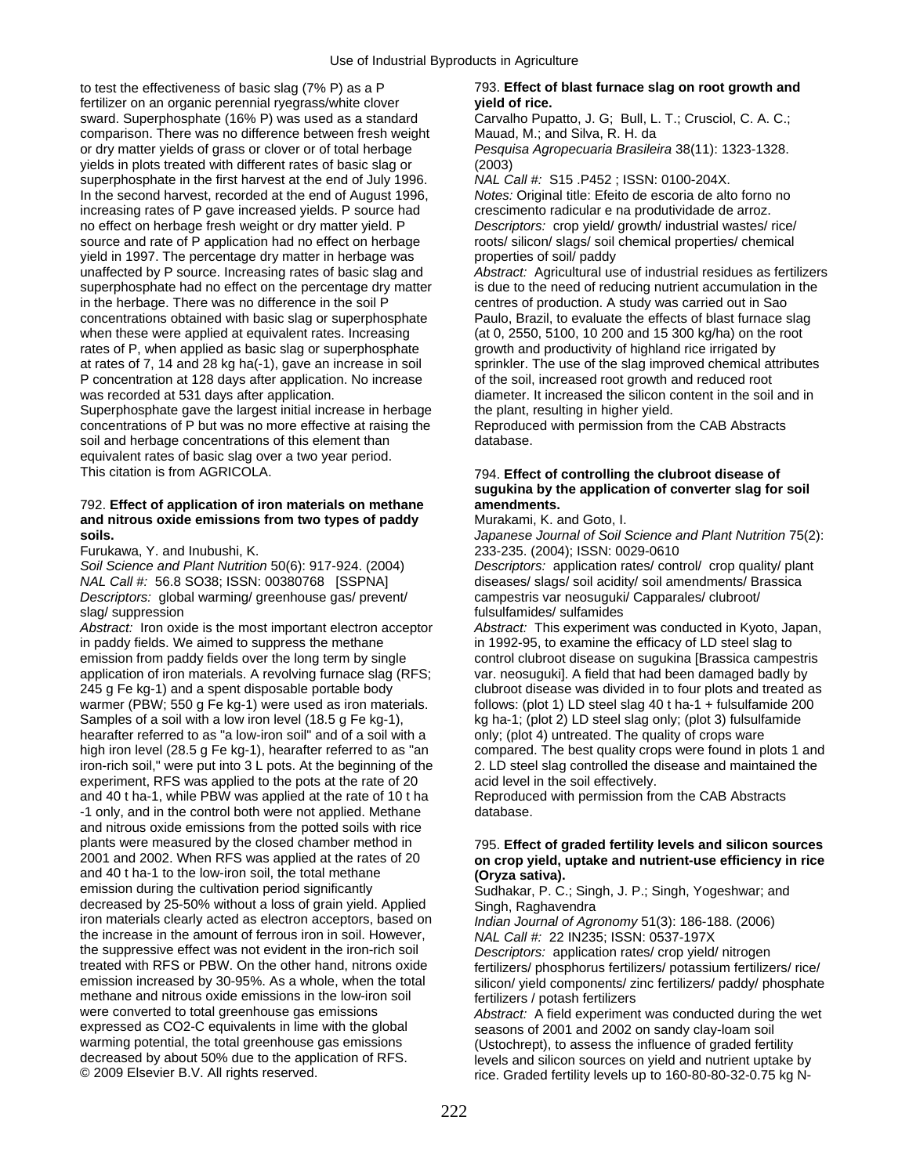to test the effectiveness of basic slag (7% P) as a P 793. **Effect of blast furnace slag on root growth and**  fertilizer on an organic perennial ryegrass/white clover **yield of rice.**  sward. Superphosphate (16% P) was used as a standard Carvalho Pupatto, J. G; Bull, L. T.; Crusciol, C. A. C.; comparison. There was no difference between fresh weight Mauad, M.; and Silva, R. H. da or dry matter yields of grass or clover or of total herbage *Pesquisa Agropecuaria Brasileira* 38(11): 1323-1328. yields in plots treated with different rates of basic slag or (2003) superphosphate in the first harvest at the end of July 1996. *NAL Call #:* S15 .P452 ; ISSN: 0100-204X. In the second harvest, recorded at the end of August 1996, *Notes:* Original title: Efeito de escoria de alto forno no increasing rates of P gave increased yields. P source had crescimento radicular e na produtividade de arroz. no effect on herbage fresh weight or dry matter yield. P *Descriptors:* crop yield/ growth/ industrial wastes/ rice/ source and rate of P application had no effect on herbage roots/ silicon/ slags/ soil chemical properties/ chemical yield in 1997. The percentage dry matter in herbage was properties of soil/ paddy unaffected by P source. Increasing rates of basic slag and *Abstract:* Agricultural use of industrial residues as fertilizers superphosphate had no effect on the percentage dry matter is due to the need of reducing nutrient accumulation in the in the herbage. There was no difference in the soil P centres of production. A study was carried out in Sao concentrations obtained with basic slag or superphosphate Paulo, Brazil, to evaluate the effects of blast furnace slag when these were applied at equivalent rates. Increasing (at 0, 2550, 5100, 10 200 and 15 300 kg/ha) on the root rates of P, when applied as basic slag or superphosphate growth and productivity of highland rice irrigated by at rates of 7, 14 and 28 kg ha(-1), gave an increase in soil sprinkler. The use of the slag improved chemical attributes P concentration at 128 days after application. No increase of the soil, increased root growth and reduced root was recorded at 531 days after application. diameter. It increased the silicon content in the soil and in

Superphosphate gave the largest initial increase in herbage the plant, resulting in higher yield. concentrations of P but was no more effective at raising the Reproduced with permission from the CAB Abstracts soil and herbage concentrations of this element than database. equivalent rates of basic slag over a two year period. This citation is from AGRICOLA. 794. **Effect of controlling the clubroot disease of** 

### 792. **Effect of application of iron materials on methane amendments. and nitrous oxide emissions from two types of paddy Murakami, K. and Goto, I.**

*Descriptors:* global warming/ greenhouse gas/ prevent/ slag/ suppression fulsulfamides/ sulfamides fulsulfamides fulsulfamides fulsulfamides

*Abstract:* Iron oxide is the most important electron acceptor *Abstract:* This experiment was conducted in Kyoto, Japan, in paddy fields. We aimed to suppress the methane in 1992-95, to examine the efficacy of LD steel slag to emission from paddy fields over the long term by single control clubroot disease on sugukina [Brassica campestris application of iron materials. A revolving furnace slag (RFS; var. neosuguki]. A field that had been damaged badly by 245 g Fe kg-1) and a spent disposable portable body clubroot disease was divided in to four plots and treated as warmer (PBW; 550 g Fe kg-1) were used as iron materials. Follows: (plot 1) LD steel slag 40 t ha-1 + fulsulfamide 200 Samples of a soil with a low iron level (18.5 g Fe kg-1), kg ha-1; (plot 2) LD steel slag only; (plot 3) fulsulfamide hearafter referred to as "a low-iron soil" and of a soil with a only; (plot 4) untreated. The quality of hearafter referred to as "a low-iron soil" and of a soil with a high iron level (28.5 g Fe kg-1), hearafter referred to as "an compared. The best quality crops were found in plots 1 and iron-rich soil," were put into 3 L pots. At the beginning of the 2. LD steel slag controlled the disease and maintained the experiment, RFS was applied to the pots at the rate of 20 acid level in the soil effectively. and 40 t ha-1, while PBW was applied at the rate of 10 t ha Reproduced with permission from the CAB Abstracts -1 only, and in the control both were not applied. Methane database. and nitrous oxide emissions from the potted soils with rice plants were measured by the closed chamber method in 795. **Effect of graded fertility levels and silicon sources**  and 40 t ha-1 to the low-iron soil, the total methane **(Oryza sativa).**<br>
emission during the cultivation period significantly **Sudhakat P.C.** decreased by 25-50% without a loss of grain yield. Applied iron materials clearly acted as electron acceptors, based on the increase in the amount of ferrous iron in soil. However, *NAL Call #:* 22 IN235; ISSN: 0537-197X the suppressive effect was not evident in the iron-rich soil *Descriptors:* application rates/ crop yield/ nitrogen treated with RFS or PBW. On the other hand, nitrons oxide fertilizers/ phosphorus fertilizers/ potassium fertilizers/ rice/<br>emission increased by 30-95%. As a whole, when the total silicon/ yield components/ zinc fertilize methane and nitrous oxide emissions in the low-iron soil fertilizers / potash fertilizers<br>were converted to total greenhouse gas emissions *Abstract:* A field experimen were converted to total greenhouse gas emissions *Abstract:* A field experiment was conducted during the wet expressed as CO2-C equivalents in lime with the global seasons of 2001 and 2002 on sandy clay-loam soil expressed as CO2-C equivalents in lime with the global seasons of 2001 and 2002 on sandy clay-loam soil<br>warming potential, the total greenhouse gas emissions (Ustochrept), to assess the influence of graded ferti warming potential, the total greenhouse gas emissions (Ustochrept), to assess the influence of graded fertility<br>decreased by about 50% due to the application of RFS. decreased by about 50% due to the application of RFS. levels and silicon sources on yield and nutrient uptake by<br>© 2009 Elsevier B.V. All rights reserved. levels are rice. Graded fertility levels up to 160-80-80-32-0.75 kg

## **sugukina by the application of converter slag for soil**

**soils.** *Japanese Journal of Soil Science and Plant Nutrition* 75(2): Furukawa, Y. and Inubushi, K. 233-235. (2004); ISSN: 0029-0610

*Soil Science and Plant Nutrition* 50(6): 917-924. (2004) *Descriptors:* application rates/ control/ crop quality/ plant diseases/ slags/ soil acidity/ soil amendments/ Brassica<br>campestris var neosuguki/ Capparales/ clubroot/

## on crop yield, uptake and nutrient-use efficiency in rice

Sudhakar, P. C.; Singh, J. P.; Singh, Yogeshwar; and<br>Singh, Raghavendra

Indian Journal of Agronomy 51(3): 186-188. (2006)

silicon/ vield components/ zinc fertilizers/ paddy/ phosphate

rice. Graded fertility levels up to 160-80-80-32-0.75 kg N-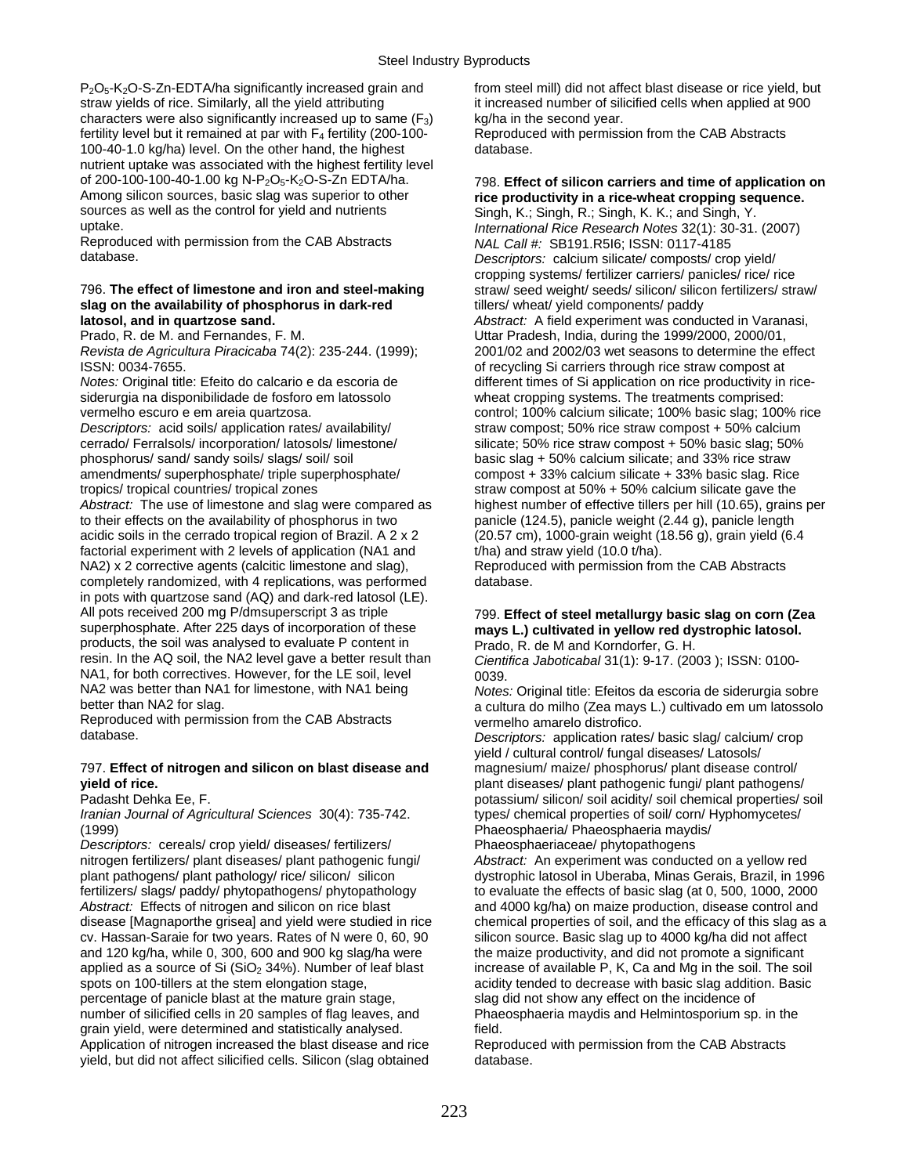$P_2O_5$ -K<sub>2</sub>O-S-Zn-EDTA/ha significantly increased grain and from steel mill) did not affect blast disease or rice yield, but straw yields of rice. Similarly, all the yield attributing it increased number of silicified cells when applied at 900 characters were also significantly increased up to same  $(F_3)$  kg/ha in the second year.<br>fertility level but it remained at par with  $F_4$  fertility (200-100-<br>Reproduced with permission from the CAB Abstracts fertility level but it remained at par with  $F_4$  fertility (200-100-<br>100-40-1.0 kg/ha) level. On the other hand, the highest database. 100-40-1.0 kg/ha) level. On the other hand, the highest nutrient uptake was associated with the highest fertility level of 200-100-100-40-1.00 kg N-P<sub>2</sub>O<sub>5</sub>-K<sub>2</sub>O-S-Zn EDTA/ha. 798. **Effect of silicon carriers and time of application on**<br>Among silicon sources, basic slag was superior to other **rice productivity in a rice-wheat cropping sequ** Among silicon sources, basic slag was superior to other **rice productivity in a rice-wheat cropping sequence.**<br>
Singh, K.: Singh, K.: Singh, K.: Singh, K.: Singh, K.: Singh, K.: Singh, K.: And Singh, Y. sources as well as the control for yield and nutrients Singh, K.; Singh, R.; Singh, K.; K.; and Singh, Y.<br>Singh, K.; Singh, K.; Singh, K.; Singh, K.; Singh, K.; Singh, K.; Singh, K.; and Singh, Y.

Reproduced with permission from the CAB Abstracts *database*.

### 796. The effect of limestone and iron and steel-making straw/ seed weight/ seeds/ silicon/ silicon fertilizers/ straw/ **slag on the availability of phosphorus in dark-red** tillers/ wheat/ yield components/ paddy **latosol, and in quartzose sand.** *Abstract:* A field experiment was conducted in Varanasi,

Prado, R. de M. and Fernandes, F. M. N. Uttar Pradesh, India, during the 1999/2000, 2000/01,

siderurgia na disponibilidade de fosforo em latossolo wheat cropping systems. The treatments comprised:

*Descriptors:* acid soils/ application rates/ availability/ straw compost; 50% rice straw compost + 50% calcium amendments/ superphosphate/ triple superphosphate/ compost + 33% calcium silicate + 33% basic slag. Rice

*Abstract:* The use of limestone and slag were compared as highest number of effective tillers per hill (10.65), grains per to their effects on the availability of phosphorus in two panicle (124.5), panicle weight (2.44 g), panicle length acidic soils in the cerrado tropical region of Brazil. A 2 x 2 (20.57 cm), 1000-grain weight (18.56 g), grain yield (6.4 factorial experiment with 2 levels of application (NA1 and  $t/ha$ ) and straw yield (10.0 t/ha). NA2) x 2 corrective agents (calcitic limestone and slag), Reproduced with permission from the CAB Abstracts<br>
completely randomized, with 4 replications, was performed database. completely randomized, with 4 replications, was performed in pots with quartzose sand (AQ) and dark-red latosol (LE).<br>All pots received 200 mg P/dmsuperscript 3 as triple All pots received 200 mg P/dmsuperscript 3 as triple 799. **Effect of steel metallurgy basic slag on corn (Zea**  products, the soil was analysed to evaluate P content in Prado, R. de M and Korndorfer, G. H.<br>
resin. In the AQ soil, the NA2 level gave a better result than Cientifica Jaboticabal 31(1): 9-17. (20 NA1, for both correctives. However, for the LE soil, level 0039.<br>NA2 was better than NA1 for limestone, with NA1 being Notes NA2 was better than NA1 for limestone, with NA1 being *Notes:* Original title: Efeitos da escoria de siderurgia sobre

Reproduced with permission from the CAB Abstracts vermelho amarelo distrofico.<br>database. Descriptors: application rate

### 797. Effect of nitrogen and silicon on blast disease and **yield of rice. plant diseases/ plant diseases/ plant pathogenic fungi/ plant pathogens/**

*Iranian Journal of Agricultural Sciences* 30(4): 735-742. types/ chemical properties of soil/ corn/ Hyphomycetes/ (1999) Phaeosphaeria/ Phaeosphaeria maydis/

*Descriptors:* cereals/ crop yield/ diseases/ fertilizers/ Phaeosphaeriaceae/ phytopathogens nitrogen fertilizers/ plant diseases/ plant pathogenic fungi/ *Abstract:* An experiment was conducted on a yellow red fertilizers/ slags/ paddy/ phytopathogens/ phytopathology to evaluate the effects of basic slag (at 0, 500, 1000, 2000 disease [Magnaporthe grisea] and yield were studied in rice cv. Hassan-Saraie for two years. Rates of N were 0, 60, 90 silicon source. Basic slag up to 4000 kg/ha did not affect and 120 kg/ha, while 0, 300, 600 and 900 kg slag/ha were the maize productivity, and did not promote a significant applied as a source of Si ( $SiO<sub>2</sub> 34%$ ). Number of leaf blast increase of available P, K, Ca and Mg in the soil. The soil spots on 100-tillers at the stem elongation stage, and the state of acidity tended to decrease with basic slag addition. Basic percentage of panicle blast at the mature grain stage, slag did not show any effect on the incidence of number of silicified cells in 20 samples of flag leaves, and Phaeosphaeria maydis and Helmintosporium sp. in the grain yield, were determined and statistically analysed. Field. Application of nitrogen increased the blast disease and rice Reproduced with permission from the CAB Abstracts yield, but did not affect silicified cells. Silicon (slag obtained database.

International Rice Research Notes 32(1): 30-31. (2007)<br>NAL Call #: SB191.R5l6: ISSN: 0117-4185 Descriptors: calcium silicate/ composts/ crop yield/ cropping systems/ fertilizer carriers/ panicles/ rice/ rice *Revista de Agricultura Piracicaba* 74(2): 235-244. (1999); 2001/02 and 2002/03 wet seasons to determine the effect ISSN: 0034-7655. **ISSN:** 0034-7655. *Notes:* Original title: Efeito do calcario e da escoria de different times of Si application on rice productivity in ricevermelho escuro e em areia quartzosa. control; 100% calcium silicate; 100% basic slag; 100% rice cerrado/ Ferralsols/ incorporation/ latosols/ limestone/ silicate; 50% rice straw compost + 50% basic slag; 50%<br>
phosphorus/ sand/ sandy soils/ slags/ soil/ soil<br>
basic slag + 50% calcium silicate; and 33% rice straw basic slag + 50% calcium silicate; and 33% rice straw tropics/ tropical countries/ tropical zones straw compost at 50% + 50% calcium silicate gave the

## mays L.) cultivated in yellow red dystrophic latosol.

Cientifica Jaboticabal 31(1): 9-17. (2003 ); ISSN: 0100-

a cultura do milho (Zea mays L.) cultivado em um latossolo

Descriptors: application rates/ basic slag/ calcium/ crop yield / cultural control/ fungal diseases/ Latosols/<br>magnesium/ maize/ phosphorus/ plant disease control/ Padasht Dehka Ee, F. potassium/ silicon/ soil acidity/ soil chemical properties/ soil chemical properties/ soil

plant pathogens/ plant pathology/ rice/ silicon/ silicon dystrophic latosol in Uberaba, Minas Gerais, Brazil, in 1996 *Abstract:* Effects of nitrogen and silicon on rice blast and 4000 kg/ha) on maize production, disease control and disease [Magnaporthe grisea] and yield were studied in rice chemical properties of soil, and the efficacy o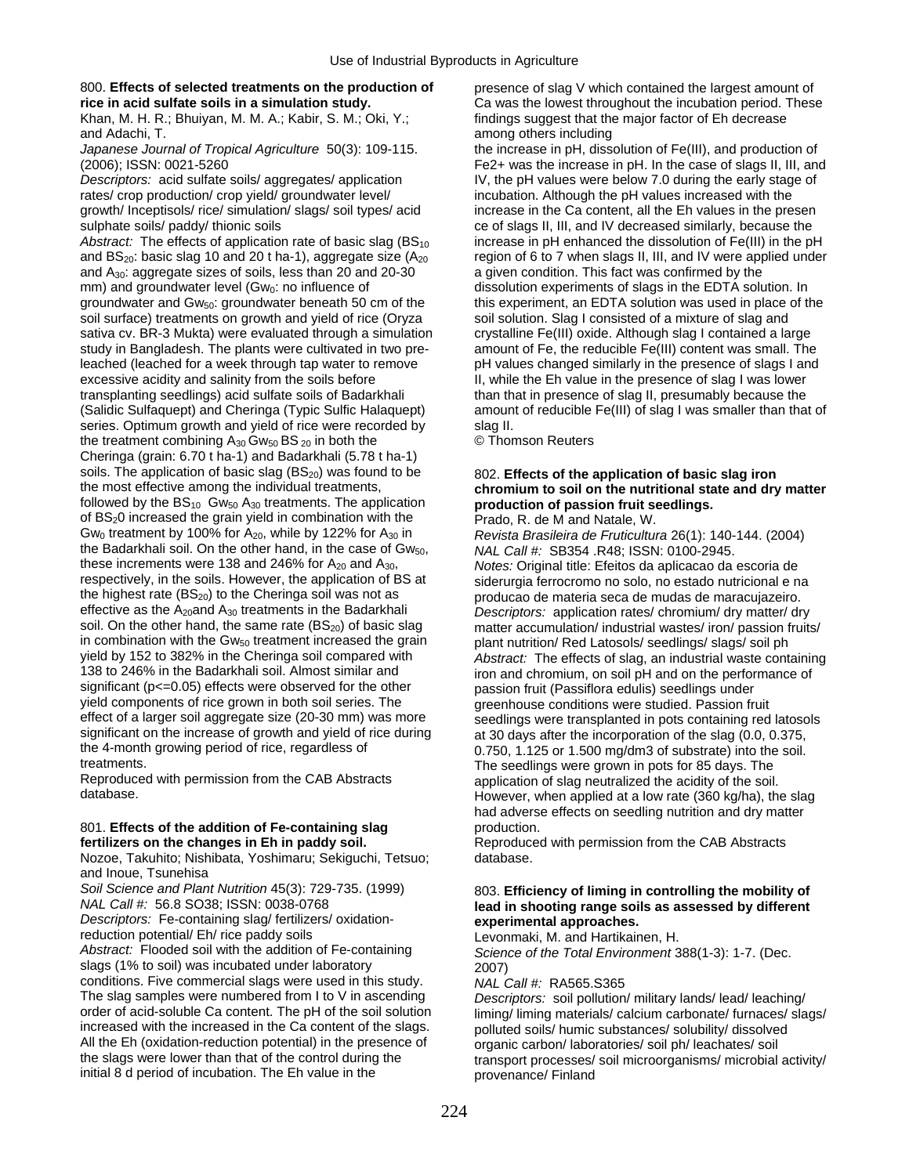### 800. Effects of selected treatments on the production of presence of slag V which contained the largest amount of **rice in acid sulfate soils in a simulation study.** Ca was the lowest throughout the incubation period. These

Khan, M. H. R.; Bhuiyan, M. M. A.; Kabir, S. M.; Oki, Y.; findings suggest that the major factor of Eh decrease and Adachi, T. among others including and Adachi, T.

rates/ crop production/ crop yield/ groundwater level/ incubation. Although the pH values increased with the growth/ Inceptisols/ rice/ simulation/ slags/ soil types/ acid increase in the Ca content, all the Eh values in the presen sulphate soils/ paddy/ thionic soils ce of slags II, III, and IV decreased similarly, because the

*Abstract:* The effects of application rate of basic slag  $(BS_{10}$  increase in pH enhanced the dissolution of Fe(III) in the pH and A<sub>30</sub>: aggregate sizes of soils, less than 20 and 20-30 a given condition. This fact was confirmed by the mm) and groundwater level (Gw<sub>0</sub>: no influence of dissolution experiments of slags in the EDTA solution experim mm) and groundwater level (Gw<sub>0</sub>: no influence of dissolution experiments of slags in the EDTA solution. In groundwater and Gw<sub>50</sub>: groundwater beneath 50 cm of the this experiment, an EDTA solution was used in place of t soil surface) treatments on growth and yield of rice (Oryza sativa cv. BR-3 Mukta) were evaluated through a simulation crystalline Fe(III) oxide. Although slag I contained a large<br>study in Bangladesh. The plants were cultivated in two pre- amount of Fe, the reducible Fe(III) conten study in Bangladesh. The plants were cultivated in two preleached (leached for a week through tap water to remove pH values changed similarly in the presence of slags I and excessive acidity and salinity from the soils before III, while the Eh value in the presence of slag I was lower transplanting seedlings) acid sulfate soils of Badarkhali than that in presence of slag II, presumably because the (Salidic Sulfaquept) and Cheringa (Typic Sulfic Halaquept) amount of reducible Fe(III) of slag I was smaller than that of series. Optimum growth and yield of rice were recorded by slag II. the treatment combining  $A_{30}$  Gw<sub>50</sub> BS <sub>20</sub> in both the  $\circ$  Thomson Reuters Cheringa (grain: 6.70 t ha-1) and Badarkhali (5.78 t ha-1) soils. The application of basic slag (BS<sub>20</sub>) was found to be 802. **Effects of the application of basic slag iron**<br> **chromium to soil on the nutritional state and dry**<br> **chromium to soil on the nutritional state and dry** followed by the BS<sub>10</sub> Gw<sub>50</sub> A<sub>30</sub> treatments. The application **production of passion fruit seedlings.** of BS<sub>2</sub>0 increased the grain yield in combination with the Prado, R. de M and Natale, W.<br>Gw<sub>0</sub> treatment by 100% for A<sub>20</sub>, while by 122% for A<sub>30</sub> in Revista Brasileira de Fruticulture the Badarkhali soil. On the other hand, in the case of Gw<sub>50</sub>, *NAL Call #: SB354 .R48; ISSN: 0100-2945.*<br>
these increments were 138 and 246% for A<sub>20</sub> and A<sub>30</sub>, *Notes: Original title: Ffeitos da aplicacao da* these increments were 138 and 246% for A<sub>20</sub> and A<sub>30</sub>, *Notes:* Original title: Efeitos da aplicacao da escoria de<br>
respectively, in the soils. However, the application of BS at siderurgia ferrocromo no solo, no estado nu respectively, in the soils. However, the application of BS at siderurgia ferrocromo no solo, no estado nutricional e na<br>the highest rate (BS<sub>20</sub>) to the Cheringa soil was not as producao de materia seca de mudas de maracuj the highest rate (BS<sub>20</sub>) to the Cheringa soil was not as producao de materia seca de mudas de maracujazeiro.<br>
effective as the A<sub>20</sub>and A<sub>30</sub> treatments in the Badarkhali *Descriptors:* application rates/ chromium/ dry m effective as the A<sub>20</sub>and A<sub>30</sub> treatments in the Badarkhali *Descriptors:* application rates/ chromium/ dry matter/ dry not soil. On the other hand, the same rate (BS<sub>20</sub>) of basic slag matter accumulation/ industrial was soil. On the other hand, the same rate (BS<sub>20</sub>) of basic slag matter accumulation/ industrial wastes/ iron/ passion fruits/<br>in combination with the Gw<sub>50</sub> treatment increased the grain plant nutrition/ Red Latosols/ seedl in combination with the Gw<sub>50</sub> treatment increased the grain plant nutrition/ Red Latosols/ seedlings/ slags/ soil ph<br>yield by 152 to 382% in the Cheringa soil compared with *Abstract:* The effects of slag, an industrial w yield by 152 to 382% in the Cheringa soil compared with *Abstract:* The effects of slag, an industrial waste containing significant (p<=0.05) effects were observed for the other passion fruit (Passiflora edulis) seedlings under yield components of rice grown in both soil series. The greenhouse conditions were studied. Passion fruit effect of a larger soil aggregate size (20-30 mm) was more seedlings were transplanted in pots containing red effect of a larger soil aggregate size (20-30 mm) was more seedlings were transplanted in pots containing red latosols<br>significant on the increase of growth and yield of rice during at 30 days after the incorporation of th significant on the increase of growth and yield of rice during at 30 days after the incorporation of the slag (0.0, 0.375, the 4-month growing period of rice, regardless of  $0.0750, 0.750, 1.125$  or 1.500 mg/dm3 of substra the 4-month growing period of rice, regardless of 0.750, 1.125 or 1.500 mg/dm3 of substrate) into the soil.<br>The seedlings were grown in pots for 85 days. The the solutions were grown in pots for 85 days. The

Reproduced with permission from the CAB Abstracts application of slag neutralized the acidity of the soil.<br>However when applied at a low rate (360 kg/ha), the

## 801. **Effects of the addition of Fe-containing slag** production.<br> **Fertilizers on the changes in Eh in paddy soil.** Reproduce

Nozoe, Takuhito; Nishibata, Yoshimaru; Sekiguchi, Tetsuo; database. and Inoue, Tsunehisa

*Descriptors:* Fe-containing slag/ fertilizers/ oxidation-<br>reduction potential/ Eh/ rice paddy soils

reduction potential/ Eh/ rice paddy soils Levonmaki, M. and Hartikainen, H.<br>Abstract: Flooded soil with the addition of Fe-containing Science of the Total Environment 3 slags (1% to soil) was incubated under laboratory 2007) conditions. Five commercial slags were used in this study. *NAL Call #:* RA565.S365 The slag samples were numbered from I to V in ascending *Descriptors:* soil pollution/ military lands/ lead/ leaching/ All the Eh (oxidation-reduction potential) in the presence of organic carbon/ laboratories/ soil ph/ leachates/ soil<br>the slags were lower than that of the control during the strange than the creeses/ soil microorganisms/ m initial 8 d period of incubation. The Eh value in the provenance/ Finland

*Japanese Journal of Tropical Agriculture* 50(3): 109-115. the increase in pH, dissolution of Fe(III), and production of (2006); ISSN: 0021-5260 Fe2+ was the increase in pH. In the case of slags II, III, and *Descriptors:* acid sulfate soils/ aggregates/ application IV, the pH values were below 7.0 during the early stage of and BS<sub>20</sub>: basic slag 10 and 20 t ha-1), aggregate size  $(A_{20}$  region of 6 to 7 when slags II, III, and IV were applied under this experiment, an EDTA solution was used in place of the soil solution. Slag I consisted of a mixture of slag and

## thromium to soil on the nutritional state and dry matter

Revista Brasileira de Fruticultura 26(1): 140-144. (2004) iron and chromium, on soil pH and on the performance of treatments.<br>Reproduced with permission from the CAB Abstracts<br>Reproduced with permission from the CAB Abstracts<br>application of slag pertralized the scility of the soil However, when applied at a low rate (360 kg/ha), the slag had adverse effects on seedling nutrition and dry matter

Reproduced with permission from the CAB Abstracts

### *Soil Science and Plant Nutrition* 45(3): 729-735. (1999) 803. **Efficiency of liming in controlling the mobility of NAL Call #: 56.8 SO38; ISSN: 0038-0768 1999 16.8 and a subsetime range soils as assessed by differen** lead in shooting range soils as assessed by different experimental approaches.

*Science of the Total Environment 388(1-3): 1-7. (Dec.* 

order of acid-soluble Ca content. The pH of the soil solution liming/ liming materials/ calcium carbonate/ furnaces/ slags/<br>increased with the increased in the Ca content of the slags. polluted soils/ humic substances/ sol polluted soils/ humic substances/ solubility/ dissolved transport processes/ soil microorganisms/ microbial activity/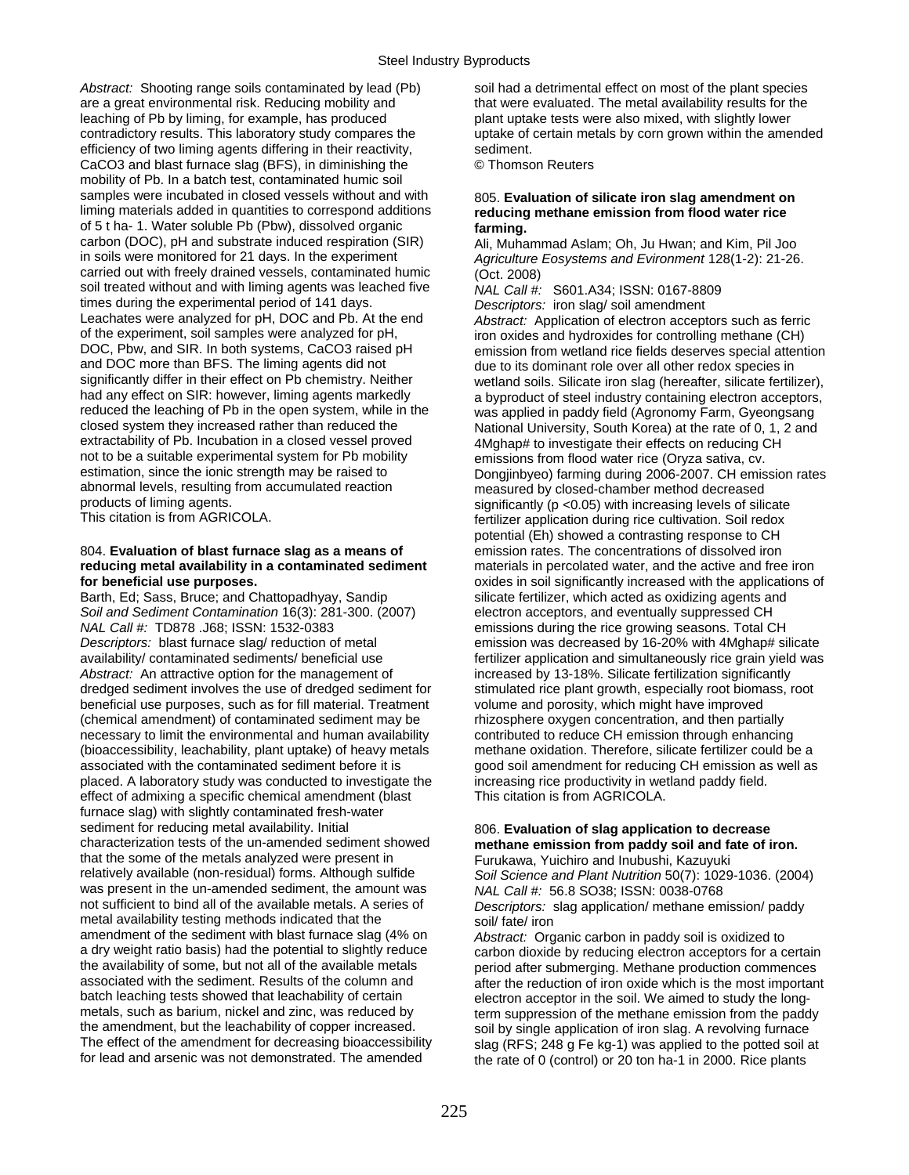Abstract: Shooting range soils contaminated by lead (Pb) soil had a detrimental effect on most of the plant species are a great environmental risk. Reducing mobility and that were evaluated. The metal availability results for the leaching of Pb by liming, for example, has produced plant uptake tests were also mixed, with slightly lower contradictory results. This laboratory study compares the uptake of certain metals by corn grown within the amended efficiency of two liming agents differing in their reactivity, sediment. CaCO3 and blast furnace slag (BFS), in diminishing the © Thomson Reuters mobility of Pb. In a batch test, contaminated humic soil samples were incubated in closed vessels without and with 805. **Evaluation of silicate iron slag amendment on** liming materials added in quantities to correspond additions reducing methane emission from flood water rice of 5 t ha- 1. Water soluble Pb (Pbw), dissolved organic **farming.**  carbon (DOC), pH and substrate induced respiration (SIR) Ali, Muhammad Aslam; Oh, Ju Hwan; and Kim, Pil Joo<br>Agriculture Fosystems and Evironment 128(1-2): 21-26 carried out with freely drained vessels, contaminated humic  $(Oct. 2008)$ soil treated without and with liming agents was leached five *NAL Call #:* S601.A34; ISSN: 0167-8809 times during the experimental period of 141 days.<br>
Leachates were analyzed for pH, DOC and Pb. At the end<br>
Abstract: Application of electron accept Leachates were analyzed for pH, DOC and Pb. At the end *Abstract:* Application of electron acceptors such as ferric of the experiment, soil samples were analyzed for pH, iron oxides and hydroxides for controlling methane (CH)<br>DOC, Pbw, and SIR. In both systems, CaCO3 raised pH<br>emission from wetland rice fields deserves special attent and DOC more than BFS. The liming agents did not due to its dominant role over all other redox species in<br>significantly differ in their effect on Pb chemistry. Neither surfand soils Silicate iron slag (hereafter silicate f significantly differ in their effect on Pb chemistry. Neither wetland soils. Silicate iron slag (hereafter, silicate fertilizer),<br>had any effect on SIR: however, liming agents markedly a byproduct of steel industry contain had any effect on SIR: however, liming agents markedly a byproduct of steel industry containing electron acceptors,<br>
reduced the leaching of Pb in the open system, while in the a songlied in paddy field (Agronomy Farm, Gye reduced the leaching of Pb in the open system, while in the was applied in paddy field (Agronomy Farm, Gyeongsang<br>closed system they increased rather than reduced the National University, South Korea) at the rate of 0, 1, extractability of Pb. Incubation in a closed vessel proved<br>
AMghap# to investigate their effects on reducing CH<br>
not to be a suitable experimental system for Pb mobility<br>
emissions from flood water rice (Oryza sativa cy not to be a suitable experimental system for Pb mobility emissions from flood water rice (Oryza sativa, cv.<br>
estimation, since the ionic strength may be raised to Dongiinbyeo) farming during 2006-2007. CH emis abnormal levels, resulting from accumulated reaction measured by closed-chamber method decreased<br>products of liming agents.

### 804. **Evaluation of blast furnace slag as a means of** emission rates. The concentrations of dissolved iron **reducing metal availability in a contaminated sediment** materials in percolated water, and the active and free iron

*Soil and Sediment Contamination* 16(3): 281-300. (2007) electron acceptors, and eventually suppressed CH *NAL Call #:* TD878 .J68; ISSN: 1532-0383 emissions during the rice growing seasons. Total CH *Descriptors:* blast furnace slag/ reduction of metal emission was decreased by 16-20% with 4Mghap# silicate availability/ contaminated sediments/ beneficial use fertilizer application and simultaneously rice grain yield was *Abstract:* An attractive option for the management of increased by 13-18%. Silicate fertilization significantly dredged sediment involves the use of dredged sediment for stimulated rice plant growth, especially root biomass, root beneficial use purposes, such as for fill material. Treatment volume and porosity, which might have improved (chemical amendment) of contaminated sediment may be rhizosphere oxygen concentration, and then partially necessary to limit the environmental and human availability contributed to reduce CH emission through enhancing<br>(bioaccessibility, leachability, plant uptake) of heavy metals methane oxidation. Therefore, silicate fertiliz (bioaccessibility, leachability, plant uptake) of heavy metals associated with the contaminated sediment before it is good soil amendment for reducing CH emission as well as placed. A laboratory study was conducted to investigate the increasing rice productivity in wetland paddy field. effect of admixing a specific chemical amendment (blast This citation is from AGRICOLA. furnace slag) with slightly contaminated fresh-water sediment for reducing metal availability. Initial 806. **Evaluation of slag application to decrease**<br>characterization tests of the un-amended sediment showed **methane emission from paddy soil and fate of i** that the some of the metals analyzed were present in Furukawa, Yuichiro and Inubushi, Kazuyuki<br>
relatively available (non-residual) forms. Although sulfide Soil Science and Plant Nutrition 50(7): 1029 was present in the un-amended sediment, the amount was *NAL Call #:* 56.8 SO38; ISSN: 0038-0768<br>not sufficient to bind all of the available metals. A series of *Descriptors:* slag application/ methane em metal availability testing methods indicated that the soil fate iron<br>amendment of the sediment with blast furnace slag (4% on  $\overline{A}$  Abstract: Org amendment of the sediment with blast furnace slag (4% on *Abstract:* Organic carbon in paddy soil is oxidized to a dry weight ratio basis) had the potential to slightly reduce carbon dioxide by reducing electron acceptors for a certain<br>the availability of some, but not all of the available metals period after submerging. Methane prod the availability of some, but not all of the available metals period after submerging. Methane production commences<br>associated with the sediment. Results of the column and after the reduction of iron oxide which is the mos associated with the sediment. Results of the column and after the reduction of iron oxide which is the most important<br>batch leaching tests showed that leachability of certain electron acceptor in the soil. We aimed to stud batch leaching tests showed that leachability of certain electron acceptor in the soil. We aimed to study the long-<br>metals, such as barium, nickel and zinc, was reduced by electron arongession of the methane emission from metals, such as barium, nickel and zinc, was reduced by term suppression of the methane emission from the paddy<br>the amendment, but the leachability of copper increased. the amendment, but the leachability of copper increased. soil by single application of iron slag. A revolving furnace<br>The effect of the amendment for decreasing bioaccessibility slag (RFS: 248 g Fe kg-1) was applied to the The effect of the amendment for decreasing bioaccessibility slag (RFS; 248 g Fe kg-1) was applied to the potted soil at<br>for lead and arsenic was not demonstrated. The amended the rate of 0 (control) or 20 ton ha-1 in 2000.

## reducing methane emission from flood water rice

Agriculture Eosystems and Evironment 128(1-2): 21-26.

DOC, Pbw, and SIR. In both systems, CaCO3 raised pH emission from wetland rice fields deserves special attention<br>and DOC more than BFS. The liming agents did not and the to its dominant role over all other redox species in National University, South Korea) at the rate of 0, 1, 2 and estimation, since the ionic strength may be raised to Dongjinbyeo) farming during 2006-2007. CH emission rates<br>abnormal levels, resulting from accumulated reaction measured by closed-chamber method decreased products of liming agents.<br>This citation is from AGRICOLA. fertilizer application during rice cultivation. Soil redox fertilizer application during rice cultivation. Soil redox potential (Eh) showed a contrasting response to CH **for beneficial use purposes.** *oxides* in soil significantly increased with the applications of Barth, Ed; Sass, Bruce; and Chattopadhyay, Sandip silicate fertilizer, which acted as oxidizing agents and silicate fertilizer, which acted as oxidizing agents and

## methane emission from paddy soil and fate of iron.

Soil Science and Plant Nutrition 50(7): 1029-1036. (2004) Descriptors: slag application/ methane emission/ paddy

the rate of 0 (control) or 20 ton ha-1 in 2000. Rice plants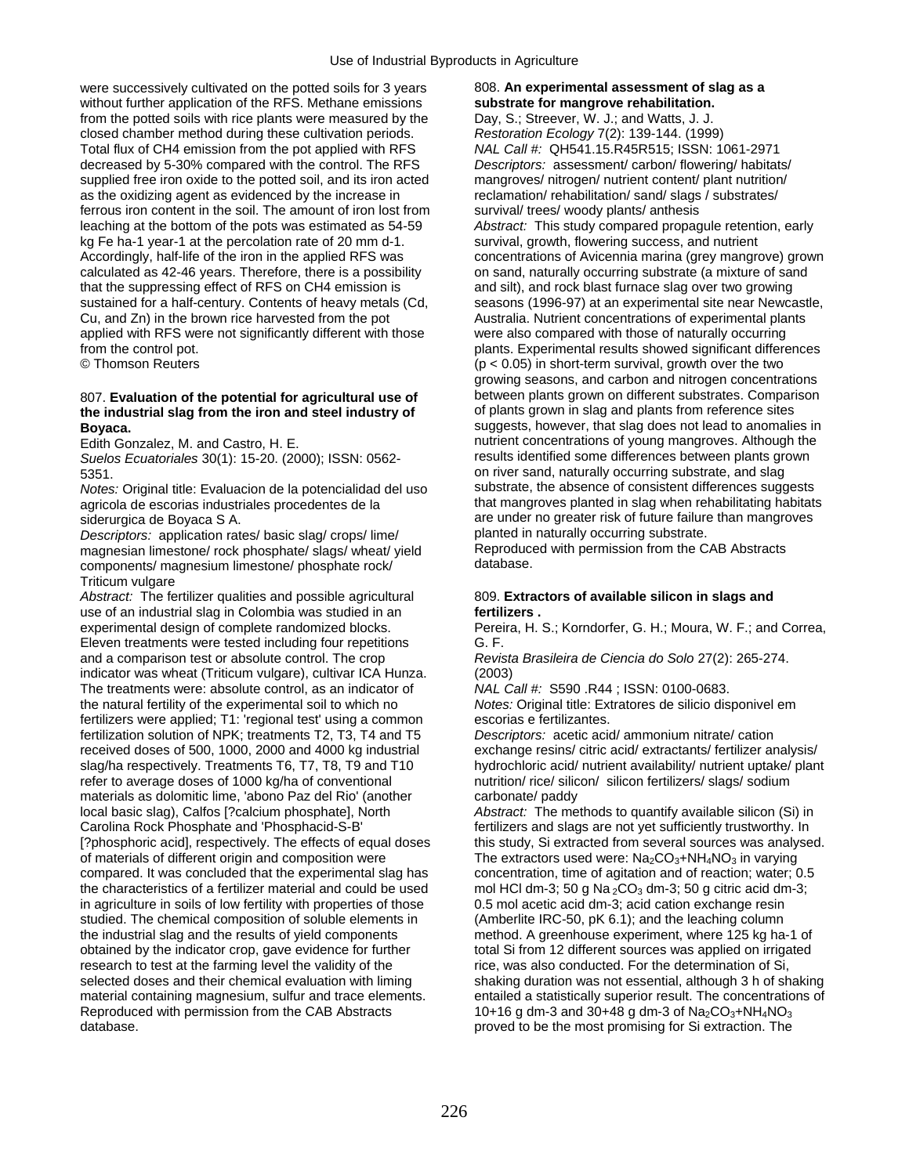were successively cultivated on the potted soils for 3 years 808. An experimental assessment of slag as a without further application of the RFS. Methane emissions **substrate for mangrove rehabilitation.**<br> **Substrate for mangrove rehabilitation.**<br>
Day, S.; Streever, W. J.; and Watts, J. J. from the potted soils with rice plants were measured by the closed chamber method during these cultivation periods. *Restoration Ecology* 7(2): 139-144. (1999) Total flux of CH4 emission from the pot applied with RFS *NAL Call #:* QH541.15.R45R515; ISSN: 1061-2971 decreased by 5-30% compared with the control. The RFS *Descriptors:* assessment/ carbon/ flowering/ habitats/ supplied free iron oxide to the potted soil, and its iron acted mangroves/ nitrogen/ nutrient content/ plant nutrition/ as the oxidizing agent as evidenced by the increase in reclamation/ rehabilitation/ sand/ slags / substrates/ ferrous iron content in the soil. The amount of iron lost from survival/ trees/ woody plants/ anthesis leaching at the bottom of the pots was estimated as 54-59 *Abstract:* This study compared propagule retention, early kg Fe ha-1 year-1 at the percolation rate of 20 mm d-1. survival, growth, flowering success, and nutrient Accordingly, half-life of the iron in the applied RFS was concentrations of Avicennia marina (grey mangrove) grown calculated as 42-46 years. Therefore, there is a possibility on sand, naturally occurring substrate (a mixture of sand that the suppressing effect of RFS on CH4 emission is and silt), and rock blast furnace slag over two growing sustained for a half-century. Contents of heavy metals (Cd, seasons (1996-97) at an experimental site near Newcastle,<br>Cu, and Zn) in the brown rice harvested from the pot Australia. Nutrient concentrations of experimental applied with RFS were not significantly different with those from the control pot. **plants.** Experimental results showed significant differences

## the industrial slag from the iron and steel industry of

*Suelos Ecuatoriales* 30(1): 15-20. (2000); ISSN: 0562-

agricola de escorias industriales procedentes de la

*Descriptors:* application rates/ basic slag/ crops/ lime/ planted in naturally occurring substrate. magnesian limestone/ rock phosphate/ slags/ wheat/ yield Reproduce<br>components/ magnesium limestone/ phosphate rock/ database. components/ magnesium limestone/ phosphate rock/ Triticum vulgare

Abstract: The fertilizer qualities and possible agricultural 809. Extractors of available silicon in slags and use of an industrial slag in Colombia was studied in an **fertilizers .**  Eleven treatments were tested including four repetitions G. F. and a comparison test or absolute control. The crop *Revista Brasileira de Ciencia do Solo* 27(2): 265-274. indicator was wheat (Triticum vulgare), cultivar ICA Hunza. (2003) The treatments were: absolute control, as an indicator of *NAL Call #:* S590 .R44 ; ISSN: 0100-0683. the natural fertility of the experimental soil to which no *Notes:* Original title: Extratores de silicio disponivel em fertilizers were applied; T1: 'regional test' using a common escorias e fertilizantes.<br>fertilization solution of NPK; treatments T2, T3, T4 and T5 Descriptors: acetic acid/ ammonium nitrate/ cation fertilization solution of NPK; treatments T2, T3, T4 and T5 received doses of 500, 1000, 2000 and 4000 kg industrial refer to average doses of 1000 kg/ha of conventional nutrition/ rice/ silicon/ silicon fertilizers/ slags/ sodium materials as dolomitic lime, 'abono Paz del Rio' (another carbonate/ paddy local basic slag), Calfos [?calcium phosphate], North *Abstract:* The methods to quantify available silicon (Si) in Carolina Rock Phosphate and 'Phosphacid-S-B' fertilizers and slags are not yet sufficiently trustworthy. In [?phosphoric acid], respectively. The effects of equal doses this study, Si extracted from several sources was analysed. of materials of different origin and composition were The extractors used were:  $N a_2 CO_3 + NH_4 NO_3$  in varying<br>compared. It was concluded that the experimental slag has concentration, time of agitation and of reaction; water compared. It was concluded that the experimental slag has the characteristics of a fertilizer material and could be used mol HCl dm-3; 50 g Na  $_2$ CO<sub>3</sub> dm-3; 50 g citric acid dm-3; in agriculture in soils of low fertility with properties of those 0.5 mol acetic acid dm-3; acid cation exchange resin studied. The chemical composition of soluble elements in (Amberlite IRC-50, pK 6.1); and the leaching column the industrial slag and the results of yield components method. A greenhouse experiment, where 125 kg ha-1 of obtained by the indicator crop, gave evidence for further total Si from 12 different sources was applied on irrigated research to test at the farming level the validity of the rice, was also conducted. For the determination of Si, selected doses and their chemical evaluation with liming shaking duration was not essential, although 3 h of material containing magnesium, sulfur and trace elements. entailed a statistically superior result. The concentrations of Reproduced with permission from the CAB Abstracts 10+16 g dm-3 and 30+48 g dm-3 of Na<sub>2</sub>CO<sub>3</sub>+NH<sub>4</sub>NO<sub>3</sub><br>proved to be the most promising for Si extraction. The

# Australia. Nutrient concentrations of experimental plants<br>were also compared with those of naturally occurring © Thomson Reuters (p < 0.05) in short-term survival, growth over the two growing seasons, and carbon and nitrogen concentrations 807. **Evaluation of the potential for agricultural use of** between plants grown on different substrates. Comparison the industrial stag and plants from reference sites

**Boyaca. Boyaca. Boyaca. Support of the suggests, however, that slag does not lead to anomalies in** Edith Gonzalez, M. and Castro, H. E. Castro, H. E. nutrient concentrations of young mangroves. Although the Suelos Fouatoriales 30(1): 15-20 (2000): ISSN: 0562-<br>Suelos Fouatoriales 30(1): 15-20 (2000): ISSN: 0562-<br>results 5351.<br>
Motes: Original title: Evaluacion de la potencialidad del uso substrate, the absence of consistent differences suggests *Notes:* Original title: Evaluacion de la potencialidad del uso substrate, the absence of consistent differences suggests siderurgica de Boyaca S A.<br>
Descriptors: application rates/ basic slag/ crops/ lime/<br>
Descriptors: application rates/ basic slag/ crops/ lime/<br>
planted in naturally occurring substrate.

experimental design of complete randomized blocks. Pereira, H. S.; Korndorfer, G. H.; Moura, W. F.; and Correa,

exchange resins/ citric acid/ extractants/ fertilizer analysis/ slag/ha respectively. Treatments T6, T7, T8, T9 and T10 hydrochloric acid/ nutrient availability/ nutrient uptake/ plant

> shaking duration was not essential, although 3 h of shaking proved to be the most promising for Si extraction. The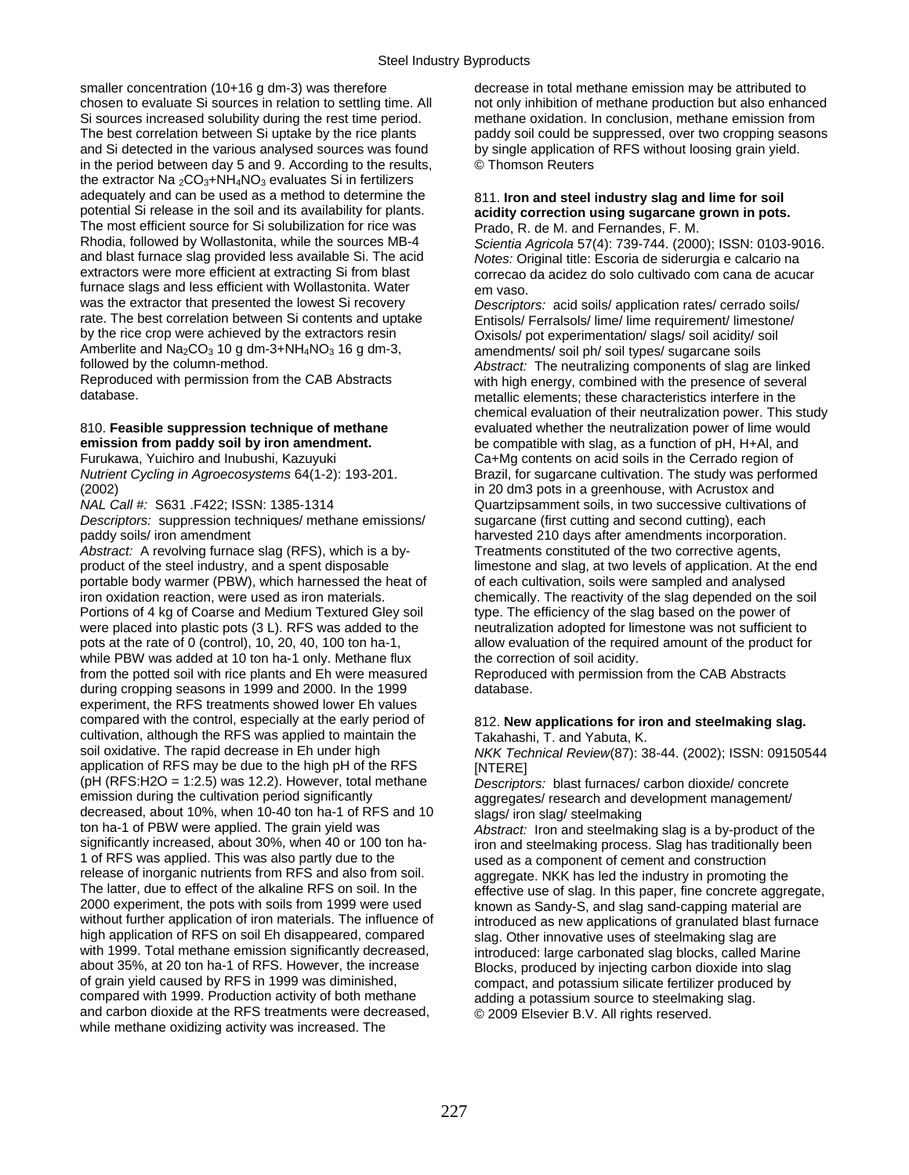smaller concentration (10+16 g dm-3) was therefore decrease in total methane emission may be attributed to and Si detected in the various analysed sources was found by single application of RFS without loosing grain yield. in the period between day 5 and 9. According to the results, © Thomson Reuters the extractor Na  ${}_{2}CO_{3}+NH_{4}NO_{3}$  evaluates Si in fertilizers adequately and can be used as a method to determine the 811. **Iron and steel industry slag and lime for soil potential Si release in the soil and its availability for plants. acidity correction using sugarcane grown in** The most efficient source for Si solubilization for rice was Prado, R. de M. and Fernandes, F. M.<br>Rhodia, followed by Wollastonita, while the sources MB-4 Scientia Agricola 57(4): 739-744 (2000) Rhodia, followed by Wollastonita, while the sources MB-4 *Scientia Agricola* 57(4): 739-744. (2000); ISSN: 0103-9016. and blast furnace slag provided less available Si. The acid *Notes:* Original title: Escoria de siderurgia e calcario na furnace slags and less efficient with Wollastonita. Water em vaso.<br>was the extractor that presented the lowest Si recovery *Descriptor* was the extractor that presented the lowest Si recovery *Descriptors:* acid soils/ application rates/ cerrado soils/<br>
rate. The best correlation between Si contents and uptake Fortisols/ Eerralsols/ lime/ lime requirement/ rate. The best correlation between Si contents and uptake Entisols/ Ferralsols/ lime/ lime requirement/ limestone/<br>by the rice crop were achieved by the extractors resin Cxisols/ pot experimentation/ slags/ soil acidity/ s by the rice crop were achieved by the extractors resin  $\log \frac{1}{\text{N}}$  Oxisols/ pot experimentation/ slags/ soil acidity/ soil<br>Amberlite and Na<sub>2</sub>CO<sub>3</sub> 10 g dm-3+NH<sub>4</sub>NO<sub>3</sub> 16 g dm-3, amendments/ soil ph/ soil types/ sugar Amberlite and Na<sub>2</sub>CO<sub>3</sub> 10 g dm-3+NH<sub>4</sub>NO<sub>3</sub> 16 g dm-3, amendments/ soil ph/ soil types/ sugarcane soils<br>followed by the column-method.

(2002) in 20 dm3 pots in a greenhouse, with Acrustox and

*NAL Call #:* S631 .F422; ISSN: 1385-1314 Quartzipsamment soils, in two successive cultivations of *Descriptors:* suppression techniques/ methane emissions/ sugarcane (first cutting and second cutting), each paddy soils/ iron amendment harvested 210 days after amendments incorporation.

*Abstract:* A revolving furnace slag (RFS), which is a by- Treatments constituted of the two corrective agents, product of the steel industry, and a spent disposable limestone and slag, at two levels of application. At the end portable body warmer (PBW), which harnessed the heat of of each cultivation, soils were sampled and analysed<br>iron oxidation reaction, were used as iron materials. The reactivity of the slag depended on the Portions of 4 kg of Coarse and Medium Textured Gley soil type. The efficiency of the slag based on the power of were placed into plastic pots (3 L). RFS was added to the neutralization adopted for limestone was not suffici were placed into plastic pots  $(3 L)$ . RFS was added to the pots at the rate of 0 (control), 10, 20, 40, 100 ton ha-1, while PBW was added at 10 ton ha-1 only. Methane flux the correction of soil acidity. from the potted soil with rice plants and Eh were measured Reproduced with permission from the CAB Abstracts during cropping seasons in 1999 and 2000. In the 1999 database. experiment, the RFS treatments showed lower Eh values compared with the control, especially at the early period of 812. **New applications for iron and steelmaking slag.**  cultivation, although the RFS was applied to maintain the Takahashi, T. and Yabuta, K.<br>soil oxidative. The rapid decrease in Eh under high NKK Technical Review(87): 3 application of RFS may be due to the high pH of the RFS [NTERE] (pH (RFS:H2O = 1:2.5) was 12.2). However, total methane *Descriptors:* blast furnaces/ carbon dioxide/ concrete decreased, about 10%, when 10-40 ton ha-1 of RFS and 10 slags/ iron slag/ steelmaking<br>ton ha-1 of PBW were applied. The grain yield was *Abstract:* Iron and steelmaki ton ha-1 of PBW were applied. The grain yield was *Abstract:* Iron and steelmaking slag is a by-product of the significantly increased, about 30%, when 40 or 100 ton ha- iron and steelmaking process. Slag has traditionally been<br>1 of RFS was applied. This was also partly due to the integral as a component of cement and construction 1 of RFS was applied. This was also partly due to the used as a component of cement and construction release of inorganic nutrients from RFS and also from soil. release of inorganic nutrients from RFS and also from soil. aggregate. NKK has led the industry in promoting the<br>The latter, due to effect of the alkaline RFS on soil. In the effective use of slag, In this paper, fine conc The latter, due to effect of the alkaline RFS on soil. In the effective use of slag. In this paper, fine concrete aggregate, 2000 experiment, the pots with soils from 1999 were used known as Sandy-S, and slag sand-capping 2000 experiment, the pots with soils from 1999 were used known as Sandy-S, and slag sand-capping material are<br>without further application of iron materials. The influence of introduced as new applications of granulated bla without further application of iron materials. The influence of introduced as new applications of granulated blast furnace<br>high application of RFS on soil Eh disappeared, compared slag Other innovative uses of steelmaking high application of RFS on soil Eh disappeared, compared slag. Other innovative uses of steelmaking slag are<br>with 1999. Total methane emission significantly decreased, surficially changed: large carbonated slag blocks, with 1999. Total methane emission significantly decreased, introduced: large carbonated slag blocks, called Marine<br>about 35%, at 20 ton ha-1 of RFS. However, the increase Blocks, produced by injecting carbon dioxide into s of grain yield caused by RFS in 1999 was diminished, compact, and potassium silicate fertilizer produced by compared with 1999. Production activity of both methane adding a potassium source to steelmaking slag. and carbon dioxide at the RFS treatments were decreased, © 2009 Elsevier B.V. All rights reserved. while methane oxidizing activity was increased. The

chosen to evaluate Si sources in relation to settling time. All not only inhibition of methane production but also enhanced<br>Si sources increased solubility during the rest time period. The methane oxidation. In conclusion, methane oxidation. In conclusion, methane emission from The best correlation between Si uptake by the rice plants paddy soil could be suppressed, over two cropping seasons

## acidity correction using sugarcane grown in pots.

correcao da acidez do solo cultivado com cana de acucar

followed by the column-method. *Abstract:* The neutralizing components of slag are linked Reproduced with permission from the CAB Abstracts with high energy, combined with the presence of several<br>
database. metallic elements: these characteristics interfere in the metallic elements; these characteristics interfere in the chemical evaluation of their neutralization power. This study 810. **Feasible suppression technique of methane** evaluated whether the neutralization power of lime would **emission from paddy soil by iron amendment.** be compatible with slag, as a function of pH, H+Al, and<br>Furukawa, Yuichiro and Inubushi, Kazuyuki **by and an Catally Catally contents** on acid soils in the Cerrado region of Ca+Mg contents on acid soils in the Cerrado region of *Nutrient Cycling in Agroecosystems* 64(1-2): 193-201. Brazil, for sugarcane cultivation. The study was performed chemically. The reactivity of the slag depended on the soil type. The efficiency of the slag based on the power of allow evaluation of the required amount of the product for

NKK Technical Review(87): 38-44. (2002); ISSN: 09150544

aggregates/ research and development management/

Blocks, produced by injecting carbon dioxide into slag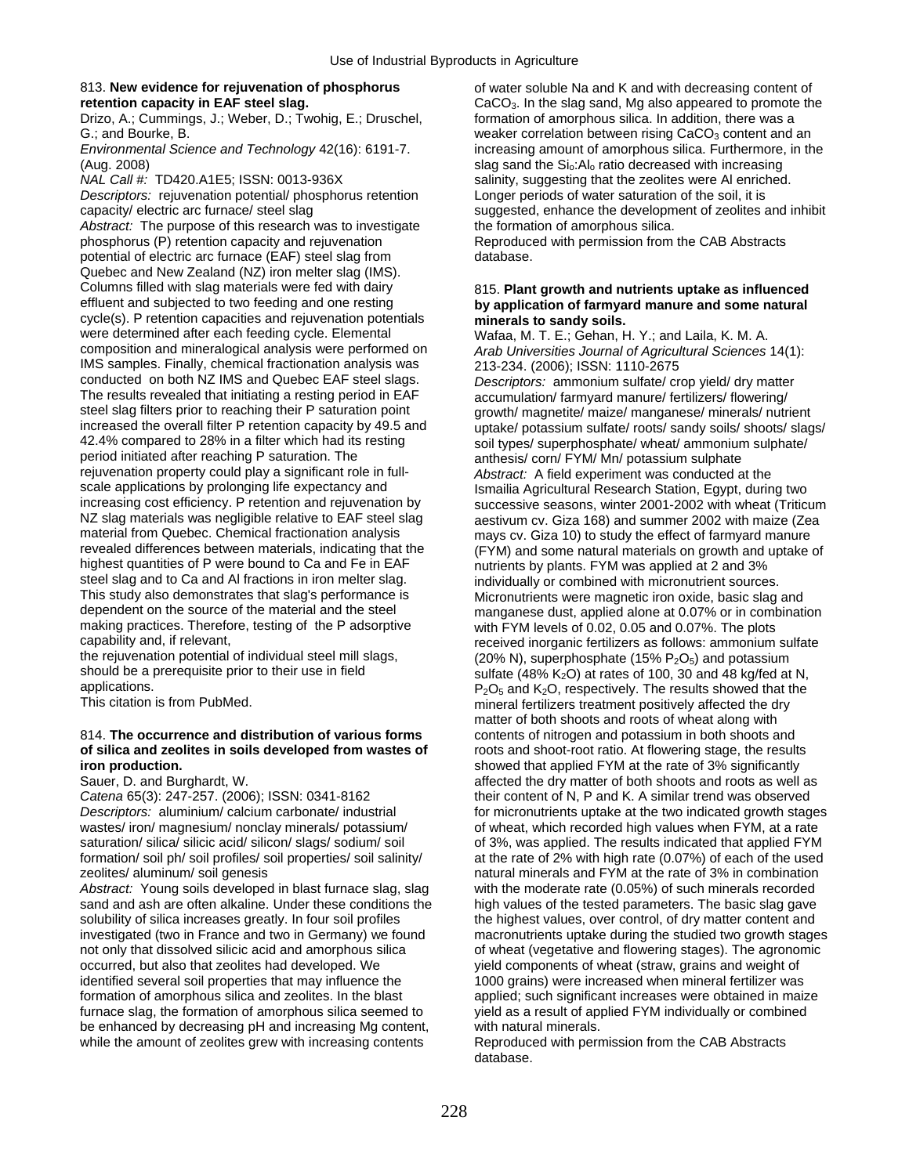## 813. **New evidence for rejuvenation of phosphorus** of water soluble Na and K and with decreasing content of

Drizo, A.; Cummings, J.; Weber, D.; Twohig, E.; Druschel,

(Aug. 2008) slag sand the Sio:Alo ratio decreased with increasing

*Descriptors:* rejuvenation potential/ phosphorus retention Longer periods of water saturation of the soil, it is

Abstract: The purpose of this research was to investigate the formation of amorphous silica. phosphorus (P) retention capacity and rejuvenation Reproduced with permission from the CAB Abstracts potential of electric arc furnace (EAF) steel slag from database. Quebec and New Zealand (NZ) iron melter slag (IMS). Columns filled with slag materials were fed with dairy **815. Plant growth and nutrients uptake as influenced**<br> **Example 2016** Ferry and subjected to two feeding and one resting **by application of farmyard manure and some n** cycle(s). P retention capacities and rejuvenation potentials **minerals to sandy soils.**<br>
were determined after each feeding cycle. Elemental **Matage M T E** : Geban F were determined after each feeding cycle. Elemental Wafaa, M. T. E.; Gehan, H. Y.; and Laila, K. M. A.<br>Composition and mineralogical analysis were performed on Arab Universities Journal of Agricultural Sciences IMS samples. Finally, chemical fractionation analysis was conducted on both NZ IMS and Quebec EAF steel slags. conducted on both NZ IMS and Quebec EAF steel slags. *Descriptors:* ammonium sulfate/ crop yield/ dry matter The results revealed that initiating a resting period in EAF accumulation/ farmyard manure/ fertilizers/ flowering/<br>steel slag filters prior to reaching their P saturation point and report of manuretite/ maize/ manganese/ steel slag filters prior to reaching their P saturation point growth/ magnetite/ maize/ manganese/ minerals/ nutrient<br>increased the overall filter P retention capacity by 49.5 and untake/ potassium sulfate/ roots/ sandy so 42.4% compared to 28% in a filter which had its resting soil types/ superphosphate/ wheat/ ammonium sulphate/<br>1991 period initiated after reaching P saturation. The same soft com/ FYM/ Mn/ potassium sulphate rejuvenation property could play a significant role in full-<br>scale applications by prolonging life expectancy and<br>Ismailia Agricultural Research Station. Egypt. during scale applications by prolonging life expectancy and Ismailia Agricultural Research Station, Egypt, during two<br>Increasing cost efficiency. P retention and rejuvenation by Successive seasons, winter 2001-2002 with wheat (Tr material from Quebec. Chemical fractionation analysis mays cv. Giza 10) to study the effect of farmyard manure<br>The materials on growth and uptake indicating that the state of FYM) and some natural materials on growth and highest quantities of P were bound to Ca and Fe in EAF nutrients by plants. FYM was applied at 2 and 3%<br>steel slag and to Ca and AI fractions in iron melter slag.<br>individually or combined with micronutrient source: steel slag and to Ca and Al fractions in iron melter slag. This studied with micronutrient sources.<br>This study also demonstrates that slag's performance is The Micronutrients were magnetic iron oxide, basic slag This study also demonstrates that slag's performance is Micronutrients were magnetic iron oxide, basic slag and<br>dependent on the source of the material and the steel manganese dust applied alone at 0.07% or in combination making practices. Therefore, testing of the P adsorptive with FYM levels of 0.02, 0.05 and 0.07%. The plots capability and, if relevant,

the rejuvenation potential of individual steel mill slags,  $(20\% N)$ , superphosphate (15% P<sub>2</sub>O<sub>5</sub>) and potassium<br>sulfate (48% K<sub>2</sub>O) at rates of 100, 30 and 48 ko/fed at

### 814. **The occurrence and distribution of various forms** contents of nitrogen and potassium in both shoots and **of silica and zeolites in soils developed from wastes of** roots and shoot-root ratio. At flowering stage, the r of silica and zeolites in soils developed from wastes of iron production.

sand and ash are often alkaline. Under these conditions the high values of the tested parameters. The basic slag gave solubility of silica increases greatly. In four soil profiles the highest values, over control, of dry matter content and not only that dissolved silicic acid and amorphous silica of wheat (vegetative and flowering stages). The agronomic<br>occurred, but also that zeolites had developed. We vield components of wheat (straw, grains and weight of occurred, but also that zeolites had developed. We yield components of wheat (straw, grains and weight of identified several soil properties that may influence the  $\frac{1000 \text{ grains}}{1000 \text{ grains}}$  were increased when mineral ferti formation of amorphous silica and zeolites. In the blast applied; such significant increases were obtained in maize<br>
furnace slag, the formation of amorphous silica seemed to yield as a result of applied FYM individually o furnace slag, the formation of amorphous silica seemed to yield as a result of applied FYM individually be enhanced by decreasing pH and increasing Mg content. be enhanced by decreasing pH and increasing Mg content, with natural minerals.<br>while the amount of zeolites grew with increasing contents Reproduced with permission from the CAB Abstracts while the amount of zeolites grew with increasing contents

**retention capacity in EAF steel slag.** CacO<sub>3</sub>. In the slag sand, Mg also appeared to promote the Drizo, A.; Cummings, J.; Weber, D.; Twohig, E.; Druschel, formation of amorphous silica. In addition, there was a G.; and Bourke, B.<br>
Environmental Science and Technology 42(16): 6191-7. The increasing amount of amorphous silica. Furthermore, in the increasing amount of amorphous silica. Furthermore, in the *NAL Call #:* TD420.A1E5; ISSN: 0013-936X salinity, suggesting that the zeolites were Al enriched. capacity/ electric arc furnace/ steel slag suggested, enhance the development of zeolites and inhibit

## by application of farmyard manure and some natural

Arab Universities Journal of Agricultural Sciences 14(1):<br>213-234. (2006); ISSN: 1110-2675 increased the overall filter P retention capacity by 49.5 and uptake/ potassium sulfate/ roots/ sandy soils/ shoots/ slags/<br>42.4% compared to 28% in a filter which had its resting soil types/ superphosphate/ wheat/ ammoniu anthesis/ corn/ FYM/ Mn/ potassium sulphate increasing cost efficiency. P retention and rejuvenation by successive seasons, winter 2001-2002 with wheat (Triticum<br>NZ slag materials was negligible relative to EAF steel slag a sastivum cy. Giza 168) and summer 2002 wit NZ slag materials was negligible relative to EAF steel slag aestivum cv. Giza 168) and summer 2002 with maize (Zea<br>material from Quebec. Chemical fractionation analysis mays ov. Giza 10) to study the effect of farmyard man revealed differences between materials, indicating that the (FYM) and some natural materials on growth and uptake of<br>highest quantities of P were bound to Ca and Fe in EAF highers of nutrients by plants. FYM was applied at dependent on the source of the material and the steel manganese dust, applied alone at 0.07% or in combination<br>making practices. Therefore, testing of the P adsorptive with FYM levels of 0.02, 0.05 and 0.07%. The plots capability and, if relevant,<br>the rejuvenation potential of individual steel mill slags,  $r = (20\%)$  N), superphosphate (15% P<sub>2</sub>O<sub>5</sub>) and potassium should be a prerequisite prior to their use in field sulfate (48% K<sub>2</sub>O) at rates of 100, 30 and 48 kg/fed at N,<br>BoOs and K<sub>2</sub>O respectively. The results showed that the applications.<br>This citation is from PubMed.  $P_2O_5$  and  $K_2O$ , respectively. The results showed that the dry mineral fertilizers treatment positively affected the dry matter of both shoots and roots of wheat along with showed that applied FYM at the rate of 3% significantly Sauer, D. and Burghardt, W. affected the dry matter of both shoots and roots as well as Catena 65(3): 247-257. (2006); ISSN: 0341-8162 their content of N, P and K. A similar trend was observed their content of N, P and K. A similar trend was observed *Descriptors:* aluminium/ calcium carbonate/ industrial for micronutrients uptake at the two indicated growth stages<br>wastes/ iron/ magnesium/ nonclay minerals/ potassium/ of wheat, which recorded high values when FYM, at a of wheat, which recorded high values when FYM, at a rate saturation/ silica/ silicic acid/ silicon/ slags/ sodium/ soil of 3%, was applied. The results indicated that applied FYM formation/ soil ph/ soil profiles/ soil properties/ soil salinity/ at the rate of 2% with high rate (0.07%) of each of the used zeolites/ aluminum/ soil genesis natural minerals and FYM at the rate of 3% in combination Abstract: Young soils developed in blast furnace slag, slag with the moderate rate (0.05%) of such minerals recorded investigated (two in France and two in Germany) we found macronutrients uptake during the studied two growth stages<br>not only that dissolved silicic acid and amorphous silica of wheat (vegetative and flowering stages). The 1000 grains) were increased when mineral fertilizer was

database.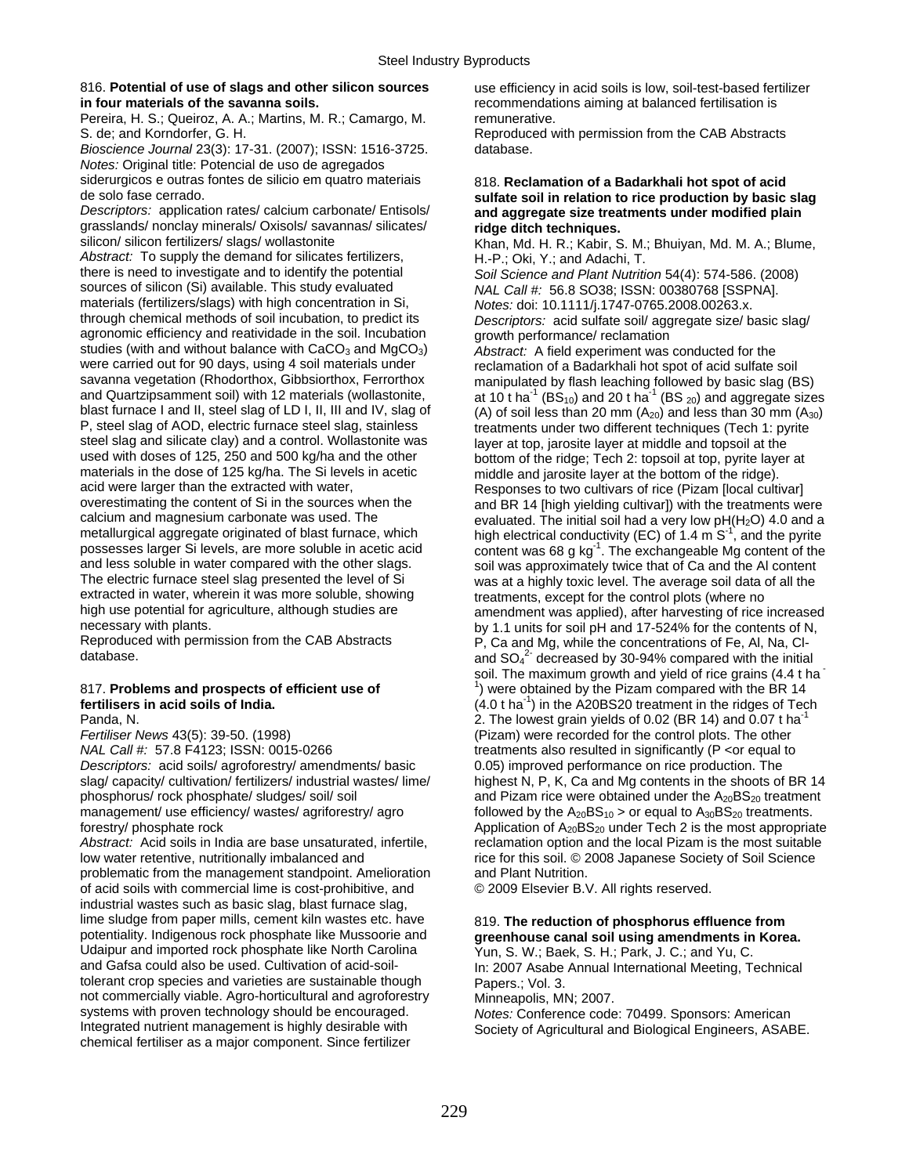### 816. **Potential of use of slags and other silicon sources** use efficiency in acid soils is low, soil-test-based fertilizer **in four materials of the savanna soils. recommendations aiming at balanced fertilisation is**

Pereira, H. S.; Queiroz, A. A.; Martins, M. R.; Camargo, M. remunerative. S. de; and Korndorfer, G. H. Reproduced with permission from the CAB Abstracts

*Bioscience Journal* 23(3): 17-31. (2007); ISSN: 1516-3725. database. *Notes:* Original title: Potencial de uso de agregados siderurgicos e outras fontes de silicio em quatro materiais 818. **Reclamation of a Badarkhali hot spot of acid** 

grasslands/ nonclay minerals/ Oxisols/ savannas/ silicates/ **ridge ditch techniques.**<br>
silicon/ silicon fertilizers/ slags/ wollastonite **by the author of the R** · Kabir S

*Abstract:* To supply the demand for silicates fertilizers, H.-P.; Oki, Y.; and Adachi, T. there is need to investigate and to identify the potential *Soil Science and Plant Nutrition* 54(4): 574-586. (2008) sources of silicon (Si) available. This study evaluated **NAL Call #: 56.8 SO38; ISSN: 00380768 [SSPNA]**. materials (fertilizers/slags) with high concentration in Si, *Notes:* doi: 10.1111/j.1747-0765.2008.00263.x.<br>
through chemical methods of soil incubation, to predict its *Descriptors: acid sulfate soil/ aggregate size/ b* agronomic efficiency and reatividade in the soil. Incubation  $\frac{1}{2}$  growth performance/ reclamation studies (with and without balance with CaCO<sub>3</sub> and MqCO<sub>3</sub>) Abstract: A field experiment was studies (with and without balance with CaCO<sub>3</sub> and MgCO<sub>3</sub>) *Abstract:* A field experiment was conducted for the were carried out for 90 days, using 4 soil materials under were carried out for 90 days, using 4 soil materials under electamation of a Badarkhali hot spot of acid sulfate soil<br>Savanna vegetation (Rhodorthox, Gibbsiorthox, Ferrorthox electamation of a Badarkhali hot spot of acid s savanna vegetation (Rhodorthox, Gibbsiorthox, Ferrorthox manipulated by flash leaching followed by basic slag (BS)<br>and Quartzipsamment soil) with 12 materials (wollastonite, at 10 t ha<sup>-1</sup> (BS-0) and 20 t ha<sup>-1</sup> (BS-0) an P, steel slag of AOD, electric furnace steel slag, stainless treatments under two different techniques (Tech 1: pyrite steel slag and silicate clay) and a control. Wollastonite was layer at top, jarosite layer at middle and topsoil at the used with doses of 125, 250 and 500 kg/ha and the other bottom of the ridge: Tech 2: topsoil at top, p used with doses of 125, 250 and 500 kg/ha and the other bottom of the ridge; Tech 2: topsoil at top, pyrite layer at materials in the dose of 125 kg/ha. The Si levels in acetic middle and jarosite layer at the bottom of th materials in the dose of 125 kg/ha. The Si levels in acetic middle and jarosite layer at the bottom of the ridge).<br>
Responses to two cultivars of rice (Pizam Ilocal culti acid were larger than the extracted with water, Responses to two cultivars of rice (Pizam [local cultivar]<br>
overestimating the content of Si in the sources when the and BR 14 [high vielding cultivar]) with the treatments w and less soluble in water compared with the other slags. soil was approximately twice that of Ca and the Al content<br>The electric furnace steel slag presented the level of Si same was at a highly toxic level. The average so The electric furnace steel slag presented the level of Si was at a highly toxic level. The average soil data of all the extracted in water, wherein it was more soluble, showing treatments, except for the control plots (whe extracted in water, wherein it was more soluble, showing treatments, except for the control plots (where no<br>high use potential for agriculture, although studies are announced amendment was applied) after harvesting of rice

## 817. **Problems and prospects of efficient use of** <sup>1</sup>

*Fertiliser News* 43(5): 39-50. (1998)<br> *NAL Call #:* 57.8 F4123; ISSN: 0015-0266 *FALL Call #: 57.8 F4123; ISSN: 0015-0266 FALL Call #: 57.8 F4123; ISSN: 0015-0266 Descriptors:* acid soils/ agroforestry/ amendments/ basic 0.05) improved performance on rice production. The management/ use efficiency/ wastes/ agriforestry/ agro followed by the  $A_{20}BS_{10} >$  or equal to  $A_{30}BS_{20}$  treatments.

low water retentive, nutritionally imbalanced and rice for this soil. © 2008 Japanese Society of Soil Science problematic from the management standpoint. Amelioration and Plant Nutrition. of acid soils with commercial lime is cost-prohibitive, and © 2009 Elsevier B.V. All rights reserved. industrial wastes such as basic slag, blast furnace slag, lime sludge from paper mills, cement kiln wastes etc. have 819. **The reduction of phosphorus effluence from**  $\overline{a}$  potentiality. Indigenous rock phosphate like Mussoorie and **or example in a state of the Mussoorie and a** Udaipur and imported rock phosphate like North Carolina<br>
2007 Asabe Annual International Meeting The Carolic Carolic Carolic Carolic Carolic Carolic Carolic Carolic C<br>
10: 2007 Asabe Annual International Meeting T tolerant crop species and varieties are sustainable though Papers.: Vol. 3. not commercially viable. Agro-horticultural and agroforestry Minneapolis, MN; 2007.<br>systems with proven technology should be encouraged. Notes: Conference code systems with proven technology should be encouraged. *Notes:* Conference code: 70499. Sponsors: American<br>Integrated nutrient management is highly desirable with Society of Agricultural and Biological Engineers, ASAF chemical fertiliser as a major component. Since fertilizer

## de solo fase cerrado. **sulfate soil in relation to rice production by basic slag**  and aggregate size treatments under modified plain

Khan, Md. H. R.; Kabir, S. M.; Bhuiyan, Md. M. A.; Blume,

Descriptors: acid sulfate soil/ aggregate size/ basic slag/

and Quartzipsamment soil) with 12 materials (wollastonite, at 10 t ha<sup>-1</sup> (BS<sub>10</sub>) and 20 t ha<sup>-1</sup> (BS <sub>20</sub>) and aggregate sizes<br>blast furnace I and II, steel slag of LD I, II, III and IV, slag of (A) of soil less than 20 (A) of soil less than 20 mm  $(A_{20})$  and less than 30 mm  $(A_{30})$ overestimating the content of Si in the sources when the and BR 14 [high yielding cultivar]) with the treatments were<br>calcium and magnesium carbonate was used. The and a solluated The initial soil had a very low pH(H<sub>2</sub>O) calcium and magnesium carbonate was used. The evaluated. The initial soil had a very low pH(H<sub>2</sub>O) 4.0 and a continuity rectional conductivity rectional and the portional metallurgical aggregate originated of blast furnac metallurgical aggregate originated of blast furnace, which high electrical conductivity (EC) of 1.4 m S<sup>-1</sup>, and the pyrite<br>possesses larger Si levels, are more soluble in acetic acid content was 68 g kg<sup>-1</sup>. The exchange possesses larger Si levels, are more soluble in acetic acid content was 68 g kg<sup>-1</sup>. The exchangeable Mg content of the<br>and less soluble in water compared with the other slags. high use potential for agriculture, although studies are amendment was applied), after harvesting of rice increased<br>hy 1.1 units for soil pH and 17-524% for the contents of N necessary with plants.<br>By 1.1 units for soil pH and 17-524% for the contents of N,<br>P. Ca and Mg. while the concentrations of Fe. Al. Na. Cl-Reproduced with permission from the CAB Abstracts  $P$ , Ca and Mg, while the concentrations of Fe, Al, Na, Cl-<br>and SO.<sup>2</sup> decreased by 30-94% compared with the initia database.  $\frac{1}{2}$  decreased by 30-94% compared with the initial soil. The maximum growth and yield of rice grains (4.4 t ha ) were obtained by the Pizam compared with the BR 14 **fertilisers in acid soils of India.** *(4.0 t ha<sup>-1</sup>)* **in the A20BS20 treatment in the ridges of Tech** Panda, N. 2. The lowest grain yields of 0.02 (BR 14) and 0.07 t ha<sup>-1</sup> 2. The lowest grain yields of 0.02 (BR 14) and 0.07 t ha<sup>-1</sup> (Pizam) were recorded for the control plots. The other *I* reatments also resulted in significantly (P < or equal to slag/ capacity/ cultivation/ fertilizers/ industrial wastes/ lime/ highest N, P, K, Ca and Mg contents in the shoots of BR 14 phosphorus/ rock phosphate/ sludges/ soil/ soil and Pizam rice were obtained under the  $A_{20}BS_{20}$  treatment forestry/ phosphate rock<br>Abstract: Acid soils in India are base unsaturated, infertile, exerciantion option and the local Pizam is the most suitable reclamation option and the local Pizam is the most suitable

## greenhouse canal soil using amendments in Korea.

In: 2007 Asabe Annual International Meeting, Technical

Society of Agricultural and Biological Engineers, ASABE.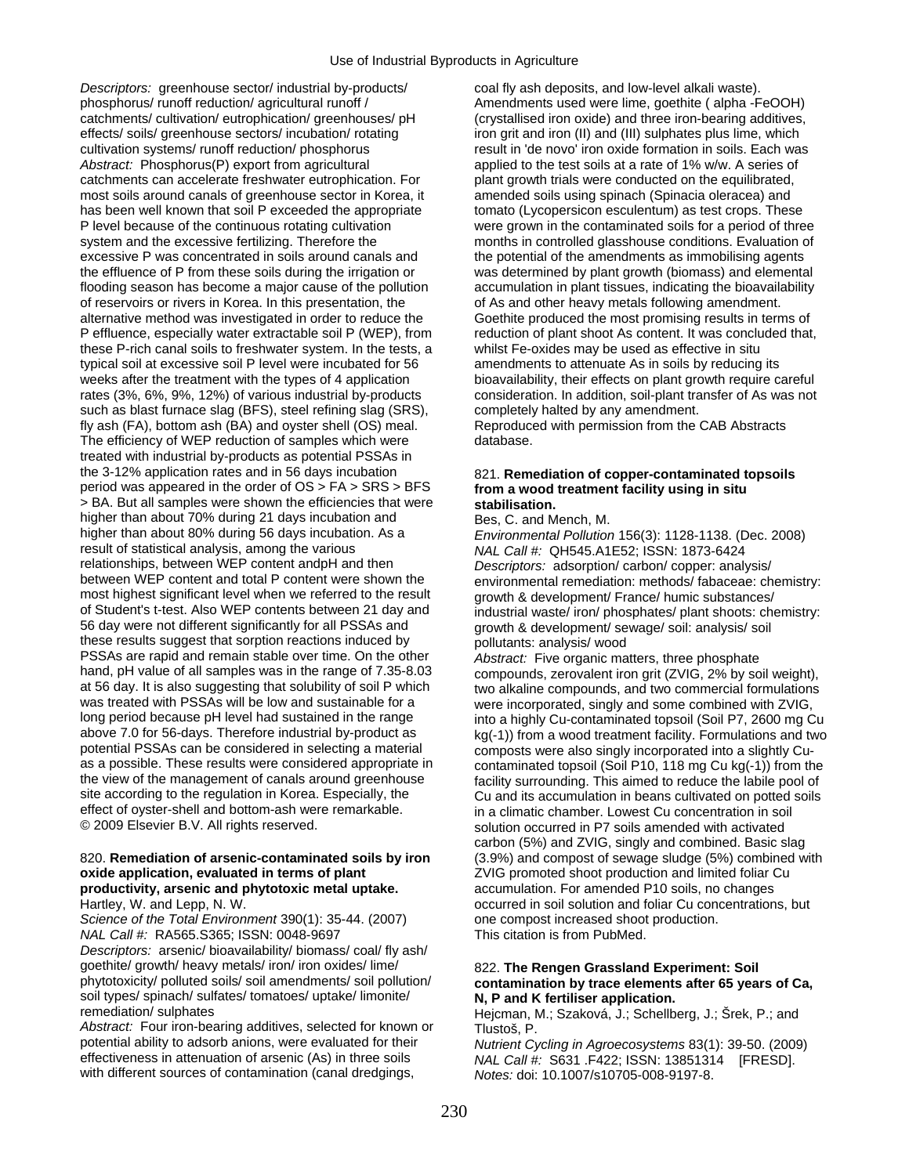*Descriptors:* greenhouse sector/ industrial by-products/ coal fly ash deposits, and low-level alkali waste). phosphorus/ runoff reduction/ agricultural runoff / Amendments used were lime, goethite ( alpha -FeOOH) catchments/ cultivation/ eutrophication/ greenhouses/ pH (crystallised iron oxide) and three iron-bearing additives, effects/ soils/ greenhouse sectors/ incubation/ rotating in a lime grit and iron (II) and (III) sulphates plus lime, which cultivation systems/ runoff reduction/ phosphorus result in 'de novo' iron oxide formation in soils. Each was Abstract: Phosphorus(P) export from agricultural applied to the test soils at a rate of 1% w/w. A series of catchments can accelerate freshwater eutrophication. For plant growth trials were conducted on the equilibrated, most soils around canals of greenhouse sector in Korea, it amended soils using spinach (Spinacia oleracea) and has been well known that soil P exceeded the appropriate tomato (Lycopersicon esculentum) as test crops. These P level because of the continuous rotating cultivation were grown in the contaminated soils for a period of three system and the excessive fertilizing. Therefore the months in controlled glasshouse conditions. Evaluation of excessive P was concentrated in soils around canals and the potential of the amendments as immobilising agents the effluence of P from these soils during the irrigation or was determined by plant growth (biomass) and elemental flooding season has become a major cause of the pollution accumulation in plant tissues, indicating the bioavailability of reservoirs or rivers in Korea. In this presentation, the of As and other heavy metals following amendment. alternative method was investigated in order to reduce the Goethite produced the most promising results in terms of P effluence, especially water extractable soil P (WEP), from reduction of plant shoot As content. It was concluded that, these P-rich canal soils to freshwater system. In the tests, a whilst Fe-oxides may be used as effective in situ typical soil at excessive soil P level were incubated for 56 amendments to attenuate As in soils by reducing its weeks after the treatment with the types of 4 application bioavailability, their effects on plant growth require careful rates (3%, 6%, 9%, 12%) of various industrial by-products consideration. In addition, soil-plant transfer of As was not such as blast furnace slag (BFS), steel refining slag (SRS), completely halted by any amendment. fly ash (FA), bottom ash (BA) and oyster shell (OS) meal. Reproduced with permission from the CAB Abstracts The efficiency of WEP reduction of samples which were database. treated with industrial by-products as potential PSSAs in the 3-12% application rates and in 56 days incubation 821. **Remediation of copper-contaminated topsoils** period was appeared in the order of OS > FA > SRS > BFS **from a wood treatment facility using in situ**  > BA. But all samples were shown the efficiencies that were **stabilisation.**  higher than about 70% during 21 days incubation and Bes, C. and Mench, M.<br>higher than about 80% during 56 days incubation. As a Fnyironmental Pollution higher than about 80% during 56 days incubation. As a *Environmental Pollution* 156(3): 1128-1138. (Dec. 2008)<br>
result of statistical analysis, among the various **Actionary MALCall #: OH545 A1F52: ISSN: 1873-6424** relationships, between WEP content andpH and then *Descriptors:* adsorption/ carbon/ copper: analysis/ most highest significant level when we referred to the result of Student's t-test. Also WEP contents between 21 day and of Student's t-test. Also WEP contents between 21 day and industrial waste/ iron/ phosphates/ plant shoots: chemistry:<br>56 day were not different significantly for all PSSAs and arough & development/ sewage/ soil: analysis/ these results suggest that sorption reactions induced by pollutants: analysis/ wood<br>PSSAs are rapid and remain stable over time. On the other *Abstract:* Five organic ma PSSAs are rapid and remain stable over time. On the other *Abstract:* Five organic matters, three phosphate hand, pH value of all samples was in the range of 7.35-8.03 compounds zerovalent iron grit (ZVIG, 2% by so at 56 day. It is also suggesting that solubility of soil P which two alkaline compounds, and two commercial formulations was treated with PSSAs will be low and sustainable for a were incorporated singly and some combined w was treated with PSSAs will be low and sustainable for a were incorporated, singly and some combined with ZVIG,<br>Iong period because pH level had sustained in the range into a highly Cu-contaminated topsoil (Soil P7, 2600 m long period because pH level had sustained in the range into a highly Cu-contaminated topsoil (Soil P7, 2600 mg Cu<br>above 7.0 for 56-days. Therefore industrial by-product as  $k_0(0.1)$  from a wood treatment facility. Formul above 7.0 for 56-days. Therefore industrial by-product as kg(-1)) from a wood treatment facility. Formulations and two<br>potential PSSAs can be considered in selecting a material composts were also singly incorporated into a potential PSSAs can be considered in selecting a material composts were also singly incorporated into a slightly Cu-<br>as a possible. These results were considered appropriate in contaminated topsoil (Soil P10, 118 mg Cu kg( as a possible. These results were considered appropriate in contaminated topsoil (Soil P10, 118 mg Cu kg(-1)) from the<br>the view of the management of canals around greenhouse facility surrounding. This aimed to reduce the l the view of the management of canals around greenhouse facility surrounding. This aimed to reduce the labile pool of<br>site according to the regulation in Korea. Especially, the Cu and its accumulation in beans cultivated on effect of oyster-shell and bottom-ash were remarkable. in a climatic chamber. Lowest Cu concentration in soil<br>© 2009 Elsevier B.V. All rights reserved. solution occurred in P7 soils amended with activated

### **oxide application, evaluated in terms of plant** *ZVIG* promoted shoot production and limited foliar Cu **productivity, arsenic and phytotoxic metal uptake.** accumulation. For amended P10 soils, no changes

*NAL Call #:* RA565.S365; ISSN: 0048-9697 This citation is from PubMed.

*Descriptors:* arsenic/ bioavailability/ biomass/ coal/ fly ash/ goethite/ growth/ heavy metals/ iron/ iron oxides/ lime/ 822. **The Rengen Grassland Experiment: Soil**<br>
phytotoxicity/ polluted soils/ soil amendments/ soil pollution/ contamination by trace elements after 65 year soil types/ spinach/ sulfates/ tomatoes/ uptake/ limonite/ **N, P and K fertiliser application.**<br>
Heicman M: Szaková J: Schellb

*Abstract:* Four iron-bearing additives, selected for known or Tlustos, P.<br>potential ability to adsorb anions, were evaluated for their *Nutrient Computer* potential ability to adsorb anions, were evaluated for their *Nutrient Cycling in Agroecosystems* 83(1): 39-50. (2009) with different sources of contamination (canal dredgings, *Notes:* doi: 10.1007/s10705-008-9197-8.

result of statistical analysis, among the various *NAL Call #:* QH545.A1E52; ISSN: 1873-6424 environmental remediation: methods/ fabaceae: chemistry:<br>growth & development/ France/ humic substances/ growth & development/ sewage/ soil: analysis/ soil

compounds, zerovalent iron grit (ZVIG, 2% by soil weight), Cu and its accumulation in beans cultivated on potted soils solution occurred in P7 soils amended with activated. carbon (5%) and ZVIG, singly and combined. Basic slag 820. **Remediation of arsenic-contaminated soils by iron** (3.9%) and compost of sewage sludge (5%) combined with Hartley, W. and Lepp, N. W. **Example 20 and 1998** occurred in soil solution and foliar Cu concentrations, but *Science of the Total Environment* 390(1): 35-44. (2007) one compost increased shoot production.

## contamination by trace elements after 65 years of Ca,

Hejcman, M.; Szaková, J.; Schellberg, J.; Šrek, P.; and

NAL Call #: S631 .F422; ISSN: 13851314 [FRESD].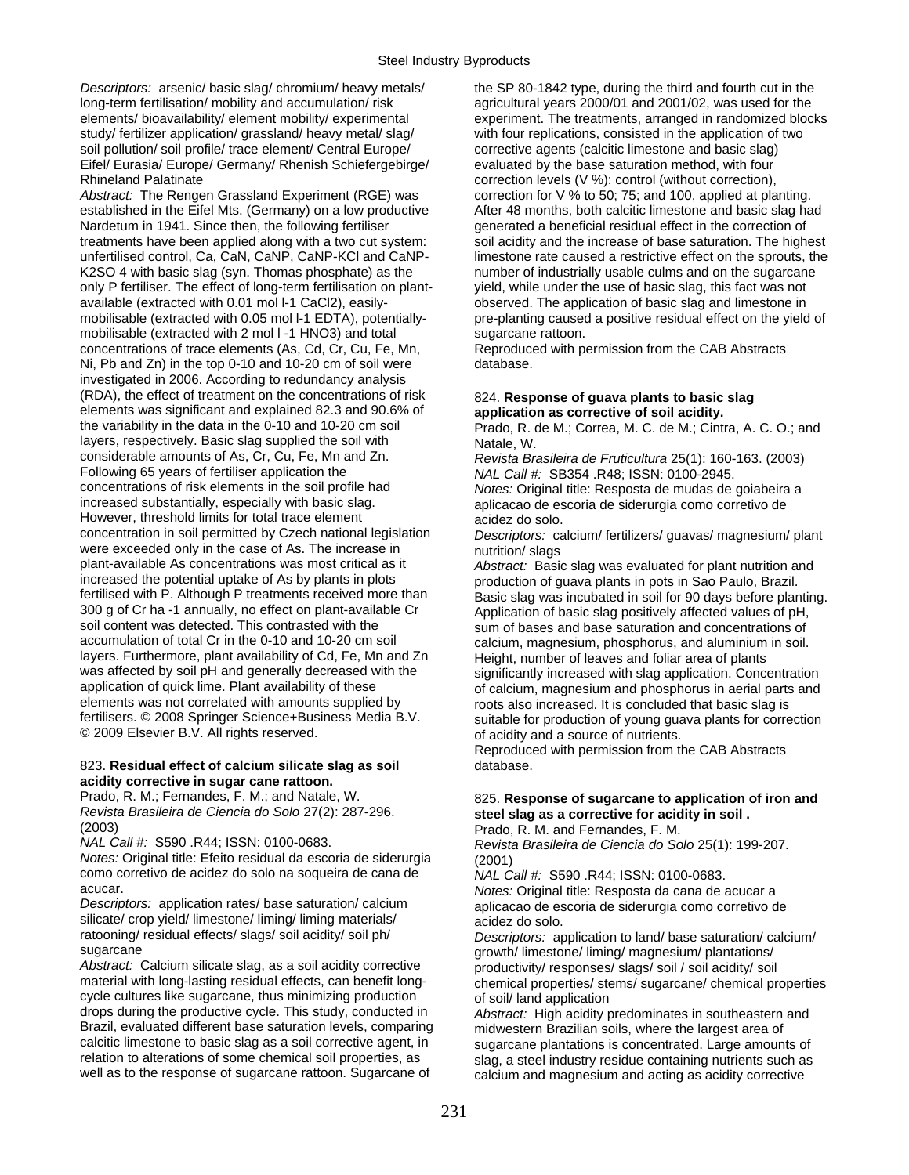long-term fertilisation/ mobility and accumulation/ risk agricultural years 2000/01 and 2001/02, was used for the study/ fertilizer application/ grassland/ heavy metal/ slag/ with four replications, consisted in the application of two soil pollution/ soil profile/ trace element/ Central Europe/ corrective agents (calcitic limestone and basic slag) Eifel/ Eurasia/ Europe/ Germany/ Rhenish Schiefergebirge/ evaluated by the base saturation method, with four Rhineland Palatinate **correction levels (V %): control (without correction)**,

Abstract: The Rengen Grassland Experiment (RGE) was correction for V % to 50; 75; and 100, applied at planting. established in the Eifel Mts. (Germany) on a low productive After 48 months, both calcitic limestone and basic slag had Nardetum in 1941. Since then, the following fertiliser generated a beneficial residual effect in the correction of K2SO 4 with basic slag (syn. Thomas phosphate) as the number of industrially usable culms and on the sugarcane only P fertiliser. The effect of long-term fertilisation on plant- yield, while under the use of basic slag, this fact was not available (extracted with 0.01 mol l-1 CaCl2), easily- observed. The application of basic slag and limestone in mobilisable (extracted with 2 mol I -1 HNO3) and total sugarcane rattoon. concentrations of trace elements (As, Cd, Cr, Cu, Fe, Mn, Reproduced with permission from the CAB Abstracts Ni, Pb and Zn) in the top 0-10 and 10-20 cm of soil were database. investigated in 2006. According to redundancy analysis (RDA), the effect of treatment on the concentrations of risk 824. **Response of guava plants to basic slag**  elements was significant and explained 82.3 and 90.6% of **application as corrective of soil acidity.**  layers, respectively. Basic slag supplied the soil with Natale, W.<br>
considerable amounts of As, Cr, Cu, Fe, Mn and Zn. Revista Bra considerable amounts of As, Cr, Cu, Fe, Mn and Zn.<br>
Following 65 years of fertiliser application the *Revista Brasileira de Fruticultura* **25(1)**: 160-163. (2003) Following 65 years of fertiliser application the *NAL Call #:* SB354 .R48; ISSN: 0100-2945.<br>
Concentrations of risk elements in the soil profile had *Notes: Original title: Resposta de mudas de* concentrations of risk elements in the soil profile had *Notes:* Original title: Resposta de mudas de goiabeira a However, threshold limits for total trace element acidez do solo.<br>
concentration in soil permitted by Czech national legislation *Descriptors:* ca were exceeded only in the case of As. The increase in nutrition/ slags<br>plant-available As concentrations was most critical as it *Abstract:* Basic plant-available As concentrations was most critical as it *Abstract:* Basic slag was evaluated for plant nutrition and increased the potential uptake of As by plants in plots entity production of guava plants in pots in Sao Paulo, Brazil.<br>1998: fertilised with P. Although P treatments received more than Basic slag was incubated in soil for 300 g of Cr ha -1 annually, no effect on plant-available Cr <br>Soil content was detected. This contrasted with the sum of bases and base saturation and concentrations of soil content was detected. This contrasted with the sum of bases and base saturation and concentrations of<br>sumulation of total Cr in the 0-10 and 10-20 cm soil and calcium magnesium phosphorus and aluminium in soil layers. Furthermore, plant availability of Cd, Fe, Mn and Zn Height, number of leaves and foliar area of plants<br>was affected by soil pH and generally decreased with the significantly increased with slag application. Conce was affected by soil pH and generally decreased with the significantly increased with slag application. Concentration<br>of calcium, magnesium and phosphorus in aerial parts and application of quick lime. Plant availability of these of calcium, magnesium and phosphorus in aerial parts and<br>elements was not correlated with amounts supplied by entitled and profit also increased. It is concluded that elements was not correlated with amounts supplied by example of roots also increased. It is concluded that basic slag is<br>19 fertilisers. © 2008 Springer Science+Business Media B.V.<br>19 suitable for production of young quaya © 2009 Elsevier B.V. All rights reserved. **only a source of nutrients** of acidity and a source of nutrients.

### 823. **Residual effect of calcium silicate slag as soil** database. **acidity corrective in sugar cane rattoon.**

Prado, R. M.; Fernandes, F. M.; and Natale, W. 825. **Response of sugarcane to application of iron and** *Revista Brasileira de Ciencia do Solo* 27(2): 287-296. **steel slag as a corrective for acidity in soil .**  (2003) Prado, R. M. and Fernandes, F. M.

*Notes:* Original title: Efeito residual da escoria de siderurgia (2001) como corretivo de acidez do solo na soqueira de cana de *NAL Call #:* S590 .R44; ISSN: 0100-0683.

silicate/ crop yield/ limestone/ liming/ liming materials/ acidez do solo.<br>
ratooning/ residual effects/ slags/ soil acidity/ soil ph/ *Descriptors*: an

*Abstract:* Calcium silicate slag, as a soil acidity corrective productivity/ responses/ slags/ soil / soil acidity/ soil material with long-lasting residual effects, can benefit long-<br>chemical properties/ stems/ suggraph/ cycle cultures like sugarcane, thus minimizing production of soil/ land application drops during the productive cycle. This study, conducted in *Abstract:* High acidity results drops during the productive cycle. This study, conducted in *Abstract:* High acidity predominates in southeastern and Brazil, evaluated different base saturation levels, comparing midwestern Brazilian soils, where the largest area of calcitic limestone to basic slag as a soil corrective agent, in suggraphe plantations is concentrated. Lar calcitic limestone to basic slag as a soil corrective agent, in sugarcane plantations is concentrated. Large amounts of<br>relation to alterations of some chemical soil properties, as see a steel industry residue containing p relation to alterations of some chemical soil properties, as slag, a steel industry residue containing nutrients such as<br>well as to the response of sugarcane rattoon. Sugarcane of salcium and magnesium and acting as acidit

*Descriptors:* arsenic/ basic slag/ chromium/ heavy metals/ the SP 80-1842 type, during the third and fourth cut in the elements/ bioavailability/ element mobility/ experimental experiment. The treatments, arranged in randomized blocks treatments have been applied along with a two cut system:<br>
unfertilised control, Ca, CaN, CaNP, CaNP-KCl and CaNP-<br>
limestone rate caused a restrictive effect on the sprouts, the limestone rate caused a restrictive effect on the sprouts, the mobilisable (extracted with 0.05 mol l-1 EDTA), potentially- pre-planting caused a positive residual effect on the yield of

Prado, R. de M.; Correa, M. C. de M.; Cintra, A. C. O.; and

aplicacao de escoria de siderurgia como corretivo de

Descriptors: calcium/ fertilizers/ guavas/ magnesium/ plant

fertilised with P. Although P treatments received more than Basic slag was incubated in soil for 90 days before planting.<br>300 g of Cr ha -1 annually, no effect on plant-available Cr Application of basic slag positively aff calcium, magnesium, phosphorus, and aluminium in soil. suitable for production of young guava plants for correction

Reproduced with permission from the CAB Abstracts

*Revista Brasileira de Ciencia do Solo* 25(1): 199-207.

acucar. *Notes:* Original title: Resposta da cana de acucar a aplicacao de escoria de siderurgia como corretivo de

ratooning/ residual effects/ slags/ soil acidity/ soil ph/ *Descriptors:* application to land/ base saturation/ calcium/ growth/ limestone/ liming/ magnesium/ plantations/ chemical properties/ stems/ sugarcane/ chemical properties

calcium and magnesium and acting as acidity corrective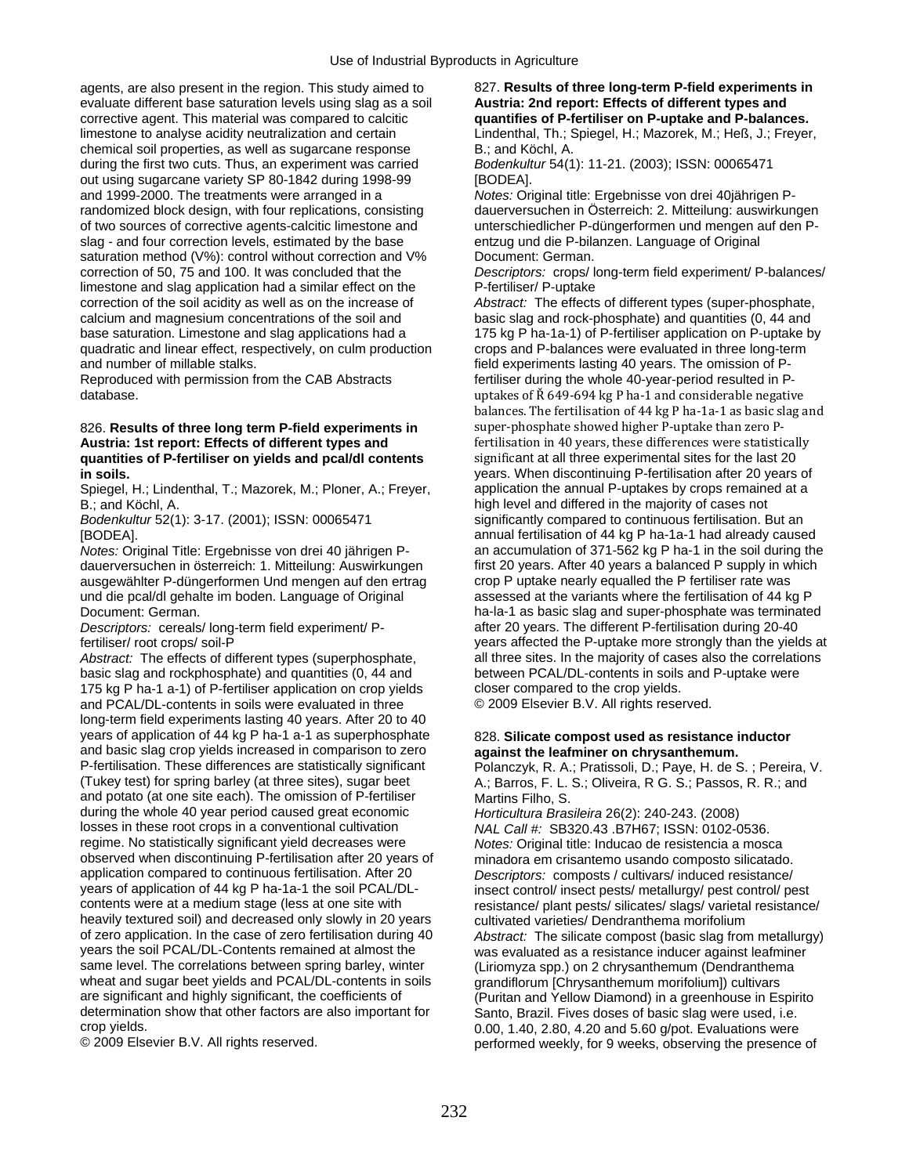agents, are also present in the region. This study aimed to 827. **Results of three long-term P-field experiments in** evaluate different base saturation levels using slag as a soil **Austria: 2nd report: Effects of different types and** <br>
corrective agent. This material was compared to calcitic **and a quantifies of P-fertiliser on P-uptake** limestone to analyse acidity neutralization and certain Lindenthal, Th.; Spiegel, H.; Mazorek, M.; Heß, J.; Freyer, chemical soil properties, as well as sugarcane response B.; and Köchl, A. during the first two cuts. Thus, an experiment was carried *Bodenkultur* 54(1): 11-21. (2003); ISSN: 00065471 out using sugarcane variety SP 80-1842 during 1998-99 [BODEA]. and 1999-2000. The treatments were arranged in a *Notes:* Original title: Ergebnisse von drei 40jährigen Prandomized block design, with four replications, consisting dauerversuchen in Österreich: 2. Mitteilung: auswirkungen of two sources of corrective agents-calcitic limestone and unterschiedlicher P-düngerformen und mengen auf den Pslag - and four correction levels, estimated by the base entzug und die P-bilanzen. Language of Original saturation method (V%): control without correction and V% Document: German.<br>
correction of 50, 75 and 100. It was concluded that the Descriptors: crops/l limestone and slag application had a similar effect on the correction of the soil acidity as well as on the increase of *Abstract:* The effects of different types (super-phosphate, calcium and magnesium concentrations of the soil and basic slag and rock-phosphate) and quantities (0, 44 and base saturation. Limestone and slag applications had a base saturation. Limestone and slag applications had a 17 quadratic and linear effect, respectively, on culm production crops and P-balances were evaluated in three long-term and number of millable stalks. field experiments lasting 40 years. The omission of P-

### 826. **Results of three long term P-field experiments in** super-phosphate showed higher P-uptake than zero P-**Austria: 1st report: Effects of different types and fertilisation in 40 years, these differences were statistically quantities of P-fertiliser on yields and pcal/dl contents** significant at all three experimental sites for the last 20

Spiegel, H.; Lindenthal, T.; Mazorek, M.; Ploner, A.; Freyer,

dauerversuchen in österreich: 1. Mitteilung: Auswirkungen first 20 years. After 40 years a balanced P supply in w<br>Ausgewählter P-düngerformen Und mengen auf den ertrag crop P uptake nearly equalled the P fertiliser rate wa ausgewählter P-düngerformen Und mengen auf den ertrag crop P uptake nearly equalled the P fertiliser rate was<br>und die pcal/dl gehalte im boden. Language of Original assessed at the variants where the fertilisation of 44 kg und die pcal/dl gehalte im boden. Language of Original

*Descriptors: cereals/ long-term field experiment/ P-*

Abstract: The effects of different types (superphosphate, all three sites. In the majority of cases also the correlations basic slag and rockphosphate) and quantities (0, 44 and between PCAL/DL-contents in soils and P-uptake were 175 ka P ha-1 a-1) of P-fertiliser application on crop yields closer compared to the crop yields. 175 kg P ha-1 a-1) of P-fertiliser application on crop yields. and PCAL/DL-contents in soils were evaluated in three © 2009 Elsevier B.V. All rights reserved. long-term field experiments lasting 40 years. After 20 to 40 years of application of 44 kg P ha-1 a-1 as superphosphate 828. Silicate compost used as resistance inductor and basic slag crop yields increased in comparison to zero **against the leafminer on chrysanthemum.**  P-fertilisation. These differences are statistically significant Polanczyk, R. A.; Pratissoli, D.; Paye, H. de S.; Pereira, V.<br>(Tukey test) for spring barley (at three sites), sugar beet A.; Barros. F. L. S.; Oliveira, R G and potato (at one site each). The omission of P-fertiliser Martins Filho, S. during the whole 40 year period caused great economic *Horticultura Brasileira* 26(2): 240-243. (2008)<br>Iosses in these root crops in a conventional cultivation *NAI Call #: SB320.43. B7H67: ISSN: 0102-G* losses in these root crops in a conventional cultivation *NAL Call #:* SB320.43 .B7H67; ISSN: 0102-0536.<br>
regime. No statistically significant yield decreases were *Notes:* Original title: Inducao de resistencia a mosc regime. No statistically significant yield decreases were *Notes:* Original title: Inducao de resistencia a mosca observed when discontinuing P-fertilisation after 20 years of minadora em crisantemo usando composto silicatado.<br>After 20 poscriptors: composts / cultivars/ induced resistance/ application compared to continuous fertilisation. After 20 *Descriptors:* composts / cultivars/ induced resistance/ years of application of 44 kg P ha-1a-1 the soil PCAL/DL- insect control/ insect pests/ metallurgy/ pest control/ pest<br>contents were at a medium stage (less at one site with resistance/ plant pests/ silicates/ slags/ varie heavily textured soil) and decreased only slowly in 20 years of zero application. In the case of zero fertilisation during 40 of zero application. In the case of zero fertilisation during 40 *Abstract:* The silicate compost (basic slag from metallurgy) same level. The correlations between spring barley, winter (Liriomyza spp.) on 2 chrysanthemum (Dendranthema wheat and sugar beet yields and PCAL/DL-contents in soils grandiflorum [Chrysanthemum morifolium]) cultivars are significant and highly significant, the coefficients of (Puritan and Yellow Diamond) in a greenhouse in Es are significant and highly significant, the coefficients of (Puritan and Yellow Diamond) in a greenhouse in Espirito<br>determination show that other factors are also important for Santo, Brazil, Fives doses of basic slag wer determination show that other factors are also important for Santo, Brazil. Fives doses of basic slag were used, i.e.<br>O 00 1 40 2 80 4 20 and 5 60 q/pot Evaluations were

quantifies of P-fertiliser on P-uptake and P-balances.

Descriptors: crops/ long-term field experiment/ P-balances/<br>P-fertiliser/ P-uptake

175 kg P ha-1a-1) of P-fertiliser application on P-uptake by Reproduced with permission from the CAB Abstracts fertiliser during the whole 40-year-period resulted in Pdatabase. uptakes of Ř 649‐694 kg P ha‐1 and considerable negative balances. The fertilisation of 44 kg P ha‐1a‐1 as basic slag and **in soils.**<br> **Spiegel, H.; Lindenthal, T.; Mazorek, M.; Ploner, A.; Freyer, application the annual P-uptakes by crops remained at a** B.; and Köchl, A. high level and differed in the majority of cases not be made to continuous fertilisation. E<br>Bodenkultur 52(1): 3-17. (2001); ISSN: 00065471 significantly compared to continuous fertilisation. E significantly compared to continuous fertilisation. But an [BODEA]. annual fertilisation of 44 kg P ha-1a-1 had already caused *Notes:* Original Title: Ergebnisse von drei 40 jährigen P- an accumulation of 371-562 kg P ha-1 in the soil during the Document: German.<br>
Document: German.<br>
Descriptors: cereals/ long-term field experiment/ P-<br>
after 20 years. The different P-fertilisation during 20-40 fertiliser/ root crops/ soil-P years affected the P-uptake more strongly than the yields at

A.; Barros, F. L. S.; Oliveira, R G. S.; Passos, R. R.; and

resistance/ plant pests/ silicates/ slags/ varietal resistance/<br>cultivated varieties/ Dendranthema morifolium was evaluated as a resistance inducer against leafminer crop yields.<br>
© 2009 Elsevier B.V. All rights reserved.<br>
oerformed weekly, for 9 weeks, observing the presence performed weekly, for 9 weeks, observing the presence of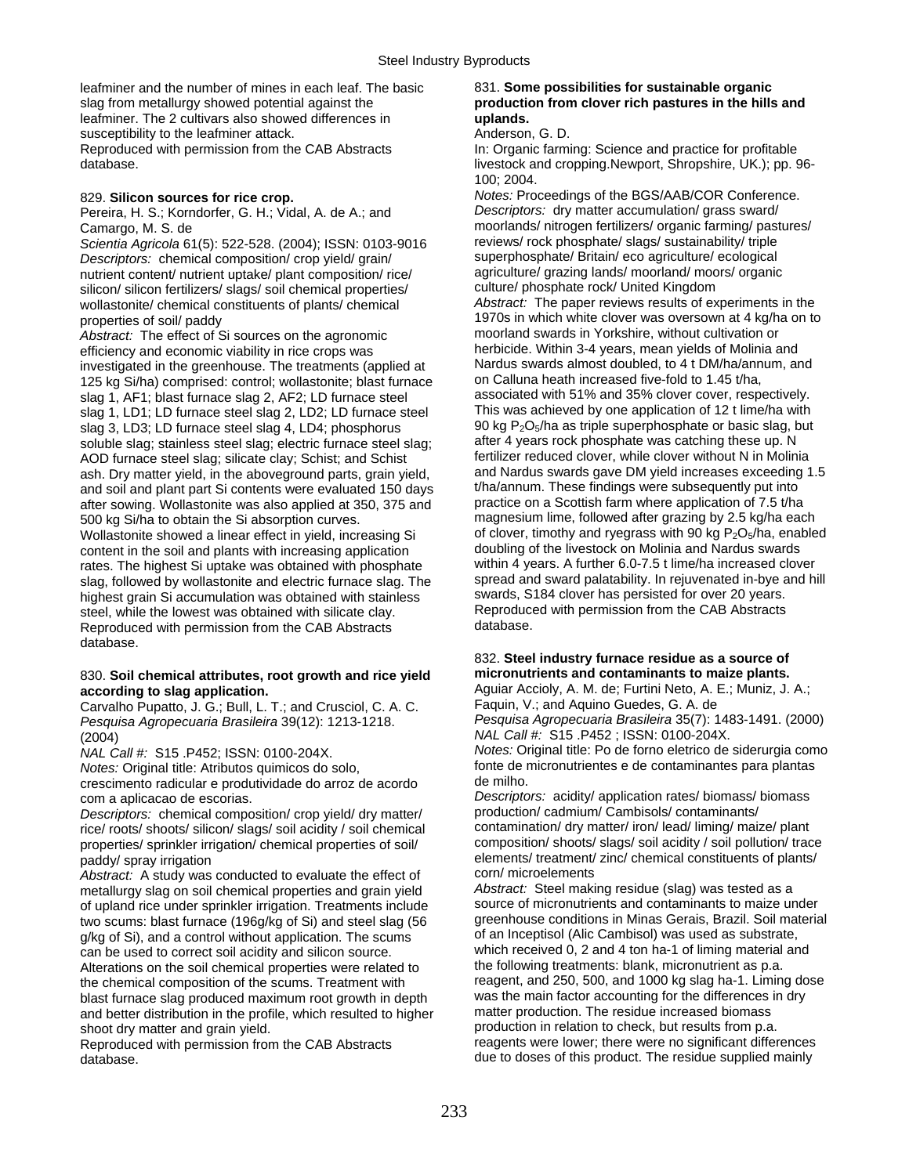leafminer and the number of mines in each leaf. The basic 831. **Some possibilities for sustainable organic**  slag from metallurgy showed potential against the **production from clover rich pastures in the hills and**  leafminer. The 2 cultivars also showed differences in **uplands.** susceptibility to the leafminer attack. Anderson, G. D. Reproduced with permission from the CAB Abstracts In: Organic farming: Science and practice for profitable

Pereira, H. S.; Korndorfer, G. H.; Vidal, A. de A.; and

*Scientia Agricola* 61(5): 522-528. (2004); ISSN: 0103-9016 reviews/ rock phosphate/ slags/ sustainability/ triple<br>Descriptors: chemical composition/ crop vield/ grain/ superphosphate/ Britain/ eco agriculture/ ecological *Descriptors:* chemical composition/ crop yield/ grain/ nutrient content/ nutrient uptake/ plant composition/ rice/ agriculture/ grazing lands/ moorland/ moors/ organic<br>silicon/ silicon fertilizers/ slags/ soil chemical properties/ culture/ phosphate rock/ United Kingdom silicon/ silicon fertilizers/ slags/ soil chemical properties/ culture/ phosphate rock/ United Kingdom<br>wollastonite/ chemical constituents of plants/ chemical and abstract: The paper reviews results of experiments in the wollastonite/ chemical constituents of plants/ chemical

*Abstract:* The effect of Si sources on the agronomic moorland swards in Yorkshire, without cultivation or<br>efficiency and economic viability in tice crops was **herbicide**. Within 3-4 years, mean yields of Molinia and efficiency and economic viability in rice crops was herbicide. Within 3-4 years, mean yields of Molinia and<br>Investigated in the greenhouse. The treatments (applied at her and almost doubled, to 4 t DM/ha/annum, and investigated in the greenhouse. The treatments (applied at Nardus swards almost doubled, to 4 t DM/ha/ann<br>125 kg Si/ha) comprised: control: wollastonite: blast furnace on Calluna heath increased five-fold to 1.45 t/ha 125 kg Si/ha) comprised: control; wollastonite; blast furnace on Calluna heath increased five-fold to 1.45 t/ha,<br>Slag 1, AF1: blast furnace slag 2, AF2: LD furnace steel associated with 51% and 35% clover cover, respective slag 1, AF1; blast furnace slag 2, AF2; LD furnace steel associated with 51% and 35% clover cover, respectively.<br>Slag 1, LD1: LD furnace steel slag 2, LD2: LD furnace steel This was achieved by one application of 12 t lime slag 1, LD1; LD furnace steel slag 2, LD2; LD furnace steel This was achieved by one application of 12 t lime/ha with<br>Slag 3, LD3; LD furnace steel slag 4, LD4; phosphorus 90 kg P<sub>2</sub>O<sub>5</sub>/ha as triple superphosphate or basi slag 3, LD3; LD furnace steel slag 4, LD4; phosphorus 90 kg P<sub>2</sub>O<sub>5</sub>/ha as triple superphosphate or basic slag, b<br>soluble slag; stainless steel slag; electric furnace steel slag; after 4 years rock phosphate was catching t soluble slag; stainless steel slag; electric furnace steel slag; after 4 years rock phosphate was catching these up. N<br>AOD furnace steel slag: silicate clay: Schist: and Schist and fertilizer reduced clover, while clover w AOD furnace steel slag; silicate clay; Schist; and Schist fertilizer reduced clover, while clover without N in Molinia<br>ash. Dry matter vield, in the aboveground parts, grain vield. and Nardus swards gave DM yield increases ash. Dry matter yield, in the aboveground parts, grain yield, and Nardus swards gave DM yield increases exceeding<br>and soil and plant part Si contents were evaluated 150 days tha/annum. These findings were subsequently put and soil and plant part Si contents were evaluated 150 days the tha annum. These findings were subsequently put into<br>after sowing Wollastonite was also applied at 350, 375 and practice on a Scottish farm where application after sowing. Wollastonite was also applied at 350, 375 and 500 kg Si/ha to obtain the Si absorption curves. magnesium lime, followed after grazing by 2.5 kg/ha each Wollastonite showed a linear effect in yield, increasing Si of clover, timothy and ryegrass with 90 kg P<sub>2</sub>O<sub>5</sub>/ha, enabled<br>
content in the soil and plants with increasing application doubling of the livestock on Molinia content in the soil and plants with increasing application doubling of the livestock on Molinia and Nardus swards<br>tates. The highest Si uptake was obtained with phosphate within 4 years. A further 6.0-7.5 t lime/ha increas rates. The highest Si uptake was obtained with phosphate within 4 years. A further 6.0-7.5 t lime/ha increased clover<br>slag, followed by wollastonite and electric furnace slag. The spread and sward palatability. In rejuvena slag, followed by wollastonite and electric furnace slag. The spread and sward palatability. In rejuvenated in-bye a<br>highest grain Si accumulation was obtained with stainless swards, S184 clover has persisted for over 20 y highest grain Si accumulation was obtained with stainless swards, S184 clover has persisted for over 20 years.<br>Steel while the lowest was obtained with silicate clay Reproduced with permission from the CAB Abstracts steel, while the lowest was obtained with silicate clay. Reproduced with permission from the CAB Abstracts and database. Reproduced with permission from the CAB Abstracts database.

## 830. **Soil chemical attributes, root growth and rice yield micronutrients and contaminants to maize plants.**

*Pesquisa Agropecuaria Brasileira* 39(12): 1213-1218. (2004) *NAL Call #:* S15 .P452 ; ISSN: 0100-204X.

crescimento radicular e produtividade do arroz de acordo.

*Descriptors:* chemical composition/ crop yield/ dry matter/ production/ cadmium/ Cambisols/ contaminants/<br>
rice/ roots/ shoots/ silicon/ slags/ soil acidity / soil chemical contamination/ dry matter/ iron/ lead/ liming/ m properties/ sprinkler irrigation/ chemical properties of soil/

*Abstract:* A study was conducted to evaluate the effect of corn/ microelements<br>metallurgy slag on soil chemical properties and grain vield *Abstract:* Steel making residue (slag) was tested as a metallurgy slag on soil chemical properties and grain yield *Abstract:* Steel making residue (slag) was tested as a of upland rice under sprinkler irrigation. Treatments include source of micronutrients and contaminants to maize under<br>two scums: blast furnace (1960/kg of Si) and steel slag (56 greenhouse conditions in Minas Gerais, Braz two scums: blast furnace (196g/kg of Si) and steel slag (56 greenhouse conditions in Minas Gerais, Brazil. Soil material of an Inceptisol (Alic Cambisol) was used as substrate, g/kg of Si), and a control without application. The scums can be used to correct soil acidity and silicon source.<br>Alterations on the soil chemical properties were related to the following treatments: blank, micronutrient as p.a. Alterations on the soil chemical properties were related to the chemical composition of the scums. Treatment with reagent, and 250, 500, and 1000 kg slag ha-1. Liming dose blast furnace slag produced maximum root growth in depth was the main factor accounting for the differences in dry<br>and better distribution in the profile which resulted to bigher matter production. The residue increased bi and better distribution in the profile, which resulted to higher

Reproduced with permission from the CAB Abstracts

database. livestock and cropping.Newport, Shropshire, UK.); pp. 96-100; 2004.

829. **Silicon sources for rice crop.** *Notes:* Proceedings of the BGS/AAB/COR Conference. **Pereira. H. S.: Korndorfer. G. H.: Vidal. A. de A.: and** *Descriptors:* **dry matter accumulation/ grass sward/** Camargo, M. S. de<br>
Scientia Agricola 61(5): 522-528. (2004): ISSN: 0103-9016 reviews/ rock phosphate/ slags/ sustainability/ triple properties of soil/ paddy<br>Abstract: The effect of Si sources on the agropomic<br>moorland swards in Yorkshire, without cultivation or

## 832. **Steel industry furnace residue as a source of**

**according to slag application. Aguiar Accioly, A. M. de; Furtini Neto, A. E.; Muniz, J. A.;** Carvalho Pupatto J. G. Bull I. T. and Crusciol, C. A. C. Faquin, V.; and Aquino Guedes, G. A. de Carvalho Pupatto, J. G.; Bull, L. T.; and Crusciol, C. A. C. Faquin, V.; and Aquino Guedes, G. A. de<br>Conquisa Agropecuaria Brasileira 39(12): 1213-1218. Pesquisa Agropecuaria Brasileira 35(7): 1483-1491. (2000) *NAL Call #:* S15 .P452; ISSN: 0100-204X. *Notes:* Original title: Po de forno eletrico de siderurgia como fonte de micronutrientes e de contaminantes para plantas<br>de milho.

com a aplicacao de escorias. *Descriptors:* acidity/ application rates/ biomass/ biomass rice/ roots/ shoots/ silicon/ slags/ soil acidity / soil chemical contamination/ dry matter/ iron/ lead/ liming/ maize/ plant<br>composition/ shoots/ slags/ soil acidity / soil pollution/ trace paddy/ spray irrigation<br>
Abstract: A study was conducted to evaluate the effect of corn/ microelements

shoot dry matter and grain yield.<br>
Reproduction in relation to check, but results from p.a.<br>
Reproduced with permission from the CAB Abstracts<br>
Reproduced with permission from the CAB Abstracts<br>
Reproduced with permission database. due to doses of this product. The residue supplied mainly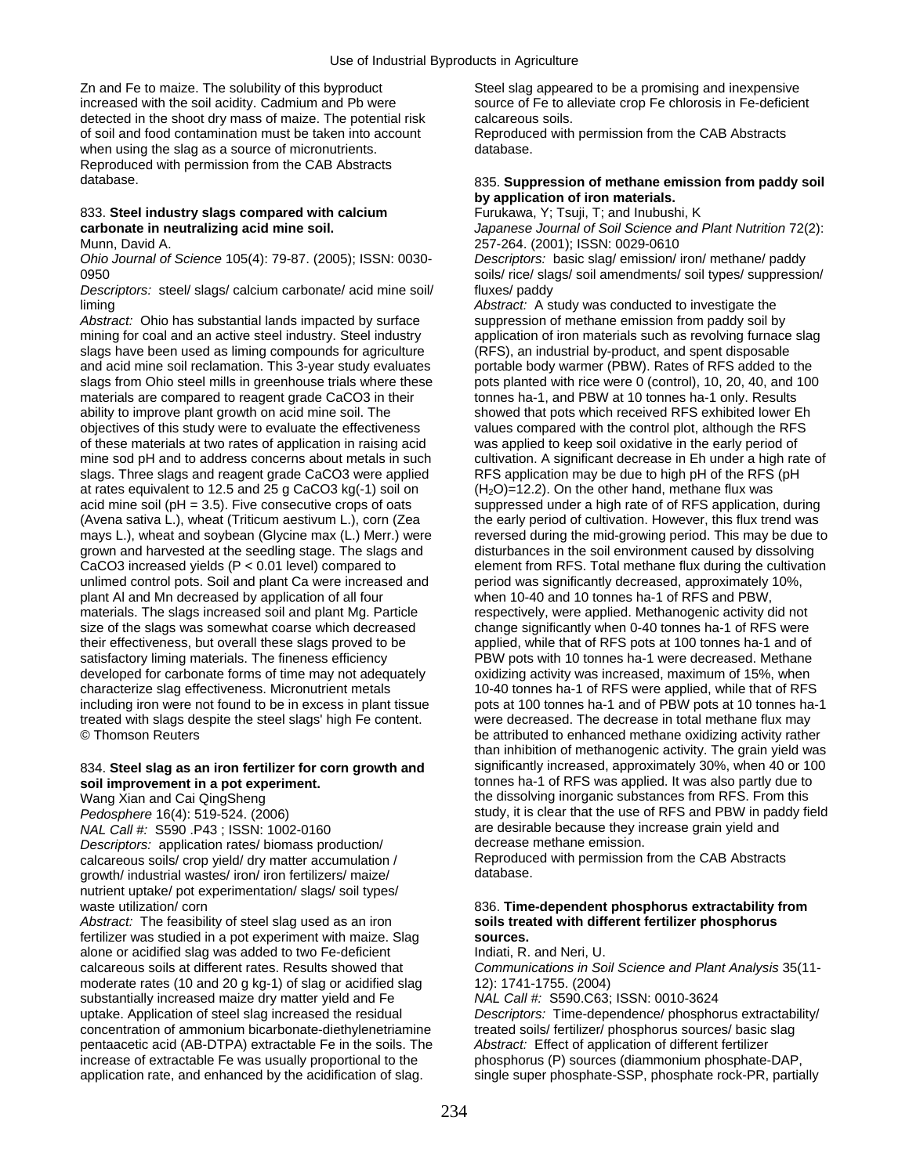Zn and Fe to maize. The solubility of this byproduct Steel slag appeared to be a promising and inexpensive increased with the soil acidity. Cadmium and Pb were source of Fe to alleviate crop Fe chlorosis in Fe-deficient detected in the shoot dry mass of maize. The potential risk calcareous soils. of soil and food contamination must be taken into account Reproduced with permission from the CAB Abstracts when using the slag as a source of micronutrients. The matabase database. Reproduced with permission from the CAB Abstracts database. 835. **Suppression of methane emission from paddy soil** 

### 833. Steel industry slags compared with calcium Munn, David A. 257-264. (2001); ISSN: 0029-0610

*Descriptors:* steel/ slags/ calcium carbonate/ acid mine soil/ fluxes/ paddy liming *Abstract:* A study was conducted to investigate the

Abstract: Ohio has substantial lands impacted by surface suppression of methane emission from paddy soil by mining for coal and an active steel industry. Steel industry application of iron materials such as revolving furnace slag slags have been used as liming compounds for agriculture (RFS), an industrial by-product, and spent disposable and acid mine soil reclamation. This 3-year study evaluates portable body warmer (PBW). Rates of RFS added to the slags from Ohio steel mills in greenhouse trials where these pots planted with rice were 0 (control), 10, 20, 40, and 100 materials are compared to reagent grade CaCO3 in their tonnes ha-1, and PBW at 10 tonnes ha-1 only. Results ability to improve plant growth on acid mine soil. The showed that pots which received RFS exhibited lower Eh objectives of this study were to evaluate the effectiveness values compared with the control plot, although the RFS of these materials at two rates of application in raising acid was applied to keep soil oxidative in the early period of mine sod pH and to address concerns about metals in such cultivation. A significant decrease in Eh under a high rate of slags. Three slags and reagent grade CaCO3 were applied RFS application may be due to high pH of the RFS (pH at rates equivalent to 12.5 and 25 g CaCO3 kg(-1) soil on (H<sub>2</sub>O)=12.2). On the other hand, methane flux was acid mine soil (pH = 3.5). Five consecutive crops of oats suppressed under a high rate of of RFS application, during (Avena sativa L.), wheat (Triticum aestivum L.), corn (Zea the early period of cultivation. However, this flux trend was grown and harvested at the seedling stage. The slags and disturbances in the soil environment caused by dissolving CaCO3 increased yields  $(P < 0.01$  level) compared to element from RFS. Total methane flux during the cultivation unlimed control pots. Soil and plant Ca were increased and period was significantly decreased, approximately 10%, plant Al and Mn decreased by application of all four when 10-40 and 10 tonnes ha-1 of RFS and PBW, plant AI and Mn decreased by application of all four materials. The slags increased soil and plant Mg. Particle respectively, were applied. Methanogenic activity did not size of the slags was somewhat coarse which decreased change significantly when 0-40 tonnes ha-1 of RFS were their effectiveness, but overall these slags proved to be applied, while that of RFS pots at 100 tonnes ha-1 and of satisfactory liming materials. The fineness efficiency entity PBW pots with 10 tonnes ha-1 were decreased. Methane developed for carbonate forms of time may not adequately oxidizing activity was increased, maximum of 15%, when characterize slag effectiveness. Micronutrient metals 10-40 tonnes ha-1 of RFS were applied, while that of RFS including iron were not found to be in excess in plant tissue pots at 100 tonnes ha-1 and of PBW pots at 10 tonnes ha-1 treated with slags despite the steel slags' high Fe content. were decreased. The decrease in total methane flux may © Thomson Reuters be attributed to enhanced methane oxidizing activity rather

## **soil improvement in a pot experiment. tonnes ha-1 of RFS was applied. It was also partly due to**

*NAL Call #:* S590 .P43 ; ISSN: 1002-0160 **are the strained are desirable because they increase grain yield and** *Descriptors:* **application rates/ biomass production/ decrease methane emission.** *Descriptors:* application rates/ biomass production/ decrease methane emission.<br>
calcareous soils/ crop vield/ dry matter accumulation / Reproduced with permission from the CAB Abstracts calcareous soils/ crop yield/ dry matter accumulation / Reproduced Reproduced Reproduced with permission from the CAB Abstracts of Reproduced with permission from the CAB Abstracts of Reproduced metals are controlled with growth/ industrial wastes/ iron/ iron fertilizers/ maize/ nutrient uptake/ pot experimentation/ slags/ soil types/

*Abstract:* The feasibility of steel slag used as an iron fertilizer was studied in a pot experiment with maize. Slag **sources.**  alone or acidified slag was added to two Fe-deficient **Indiati**, R. and Neri, U. calcareous soils at different rates. Results showed that *Communications in Soil Science and Plant Analysis* 35(11 moderate rates (10 and 20 g kg-1) of slag or acidified slag 12): 1741-1755. (2004) substantially increased maize dry matter yield and Fe *NAL Call #:* S590.C63; ISSN: 0010-3624 uptake. Application of steel slag increased the residual *Descriptors:* Time-dependence/ phosphorus extractability/ concentration of ammonium bicarbonate-diethylenetriamine treated soils/ fertilizer/ phosphorus sources/ basic slag pentaacetic acid (AB-DTPA) extractable Fe in the soils. The *Abstract:* Effect of application of different fertilizer increase of extractable Fe was usually proportional to the phosphorus (P) sources (diammonium phosphate-DAP, application rate, and enhanced by the acidification of slag. single super phosphate-SSP, phosphate rock-PR, partially

## by application of iron materials.<br>
Furukawa, Y; Tsuji, T; and Inubushi, K

**carbonate in neutralizing acid mine soil.** *Japanese Journal of Soil Science and Plant Nutrition* 72(2):

*Ohio Journal of Science* 105(4): 79-87. (2005); ISSN: 0030- *Descriptors:* basic slag/ emission/ iron/ methane/ paddy 0950 0950 soils/ rice/ slags/ soil amendments/ soil types/ suppression/

mays L.), wheat and soybean (Glycine max (L.) Merr.) were reversed during the mid-growing period. This may be due to than inhibition of methanogenic activity. The grain yield was 834. **Steel slag as an iron fertilizer for corn growth and** significantly increased, approximately 30%, when 40 or 100 Wang Xian and Cai QingSheng the dissolving inorganic substances from RFS. From this *Pedosphere* 16(4): 519-524. (2006) study, it is clear that the use of RFS and PBW in paddy field

## waste utilization/ corn corn 836. Time-dependent phosphorus extractability from 836. Time-dependent phosphorus extractability from 836. Time-dependent phosphorus extractability of steel slag used as an iron soils treated w